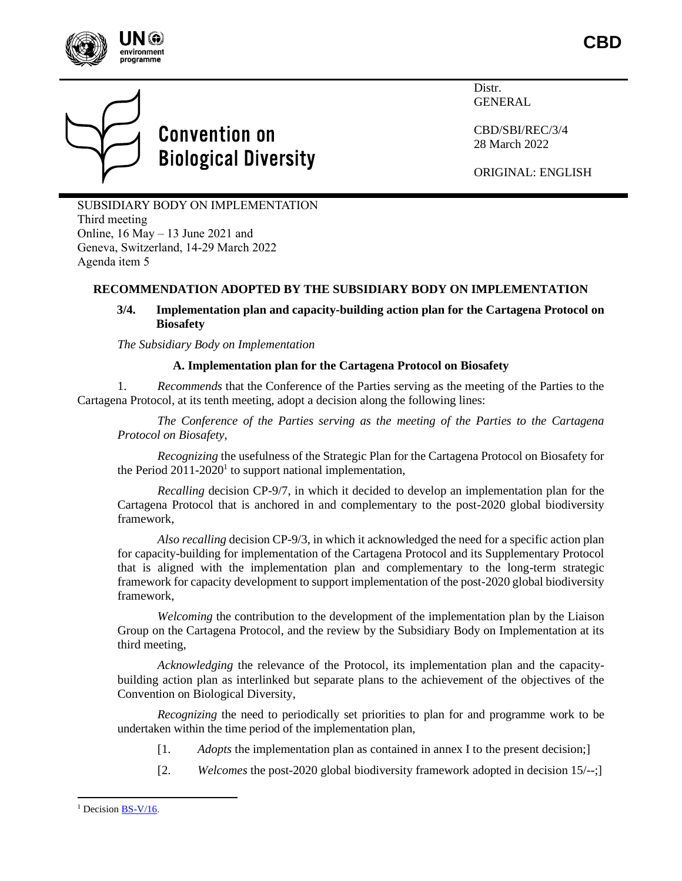



# **Convention on Biological Diversity**

Distr. GENERAL

CBD/SBI/REC/3/4 28 March 2022

ORIGINAL: ENGLISH

SUBSIDIARY BODY ON IMPLEMENTATION Third meeting Online, 16 May – 13 June 2021 and Geneva, Switzerland, 14-29 March 2022 Agenda item 5

# **RECOMMENDATION ADOPTED BY THE SUBSIDIARY BODY ON IMPLEMENTATION**

## **3/4. Implementation plan and capacity-building action plan for the Cartagena Protocol on Biosafety**

*The Subsidiary Body on Implementation*

#### **A. Implementation plan for the Cartagena Protocol on Biosafety**

1. *Recommends* that the Conference of the Parties serving as the meeting of the Parties to the Cartagena Protocol, at its tenth meeting, adopt a decision along the following lines:

*The Conference of the Parties serving as the meeting of the Parties to the Cartagena Protocol on Biosafety*,

*Recognizing* the usefulness of the Strategic Plan for the Cartagena Protocol on Biosafety for the Period  $2011-2020<sup>1</sup>$  to support national implementation,

*Recalling* decision CP-9/7, in which it decided to develop an implementation plan for the Cartagena Protocol that is anchored in and complementary to the post-2020 global biodiversity framework,

*Also recalling* decision CP-9/3, in which it acknowledged the need for a specific action plan for capacity-building for implementation of the Cartagena Protocol and its Supplementary Protocol that is aligned with the implementation plan and complementary to the long-term strategic framework for capacity development to support implementation of the post-2020 global biodiversity framework,

*Welcoming* the contribution to the development of the implementation plan by the Liaison Group on the Cartagena Protocol, and the review by the Subsidiary Body on Implementation at its third meeting,

*Acknowledging* the relevance of the Protocol, its implementation plan and the capacitybuilding action plan as interlinked but separate plans to the achievement of the objectives of the Convention on Biological Diversity,

*Recognizing* the need to periodically set priorities to plan for and programme work to be undertaken within the time period of the implementation plan,

- [1. *Adopts* the implementation plan as contained in annex I to the present decision;]
- [2. *Welcomes* the post-2020 global biodiversity framework adopted in decision 15/--;]

<sup>&</sup>lt;sup>1</sup> Decision [BS-V/16.](http://bch.cbd.int/protocol/decisions/decision.shtml?decisionID=12329)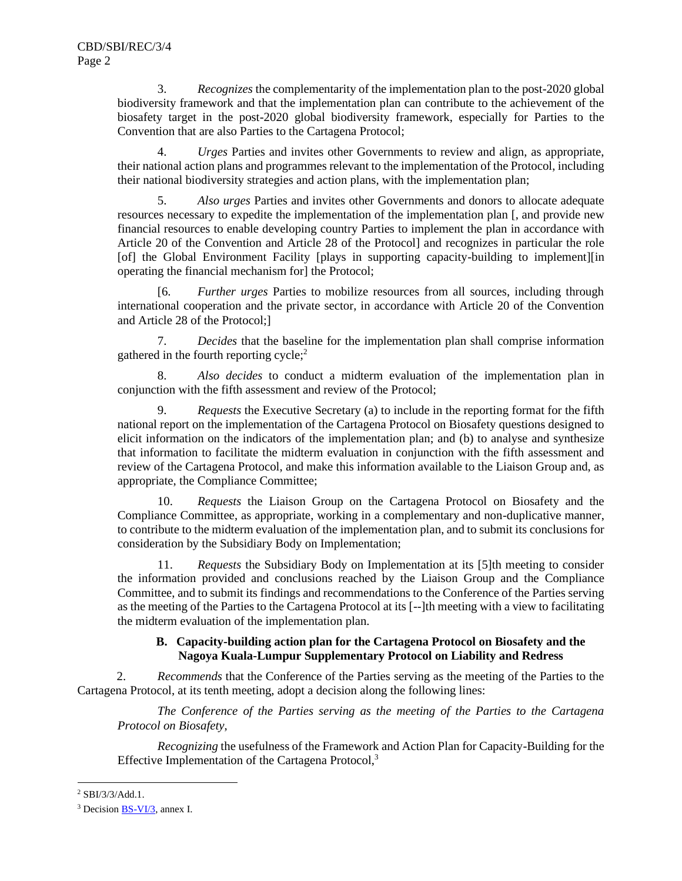3. *Recognizes* the complementarity of the implementation plan to the post-2020 global biodiversity framework and that the implementation plan can contribute to the achievement of the biosafety target in the post-2020 global biodiversity framework, especially for Parties to the Convention that are also Parties to the Cartagena Protocol;

4. *Urges* Parties and invites other Governments to review and align, as appropriate, their national action plans and programmes relevant to the implementation of the Protocol, including their national biodiversity strategies and action plans, with the implementation plan;

5. *Also urges* Parties and invites other Governments and donors to allocate adequate resources necessary to expedite the implementation of the implementation plan [, and provide new financial resources to enable developing country Parties to implement the plan in accordance with Article 20 of the Convention and Article 28 of the Protocol] and recognizes in particular the role [of] the Global Environment Facility [plays in supporting capacity-building to implement][in operating the financial mechanism for] the Protocol;

[6. *Further urges* Parties to mobilize resources from all sources, including through international cooperation and the private sector, in accordance with Article 20 of the Convention and Article 28 of the Protocol;]

7. *Decides* that the baseline for the implementation plan shall comprise information gathered in the fourth reporting cycle;<sup>2</sup>

8. *Also decides* to conduct a midterm evaluation of the implementation plan in conjunction with the fifth assessment and review of the Protocol;

9. *Requests* the Executive Secretary (a) to include in the reporting format for the fifth national report on the implementation of the Cartagena Protocol on Biosafety questions designed to elicit information on the indicators of the implementation plan; and (b) to analyse and synthesize that information to facilitate the midterm evaluation in conjunction with the fifth assessment and review of the Cartagena Protocol, and make this information available to the Liaison Group and, as appropriate, the Compliance Committee;

10. *Requests* the Liaison Group on the Cartagena Protocol on Biosafety and the Compliance Committee, as appropriate, working in a complementary and non-duplicative manner, to contribute to the midterm evaluation of the implementation plan, and to submit its conclusions for consideration by the Subsidiary Body on Implementation;

11. *Requests* the Subsidiary Body on Implementation at its [5]th meeting to consider the information provided and conclusions reached by the Liaison Group and the Compliance Committee, and to submit its findings and recommendations to the Conference of the Parties serving as the meeting of the Parties to the Cartagena Protocol at its [--]th meeting with a view to facilitating the midterm evaluation of the implementation plan.

## **B. Capacity-building action plan for the Cartagena Protocol on Biosafety and the Nagoya Kuala-Lumpur Supplementary Protocol on Liability and Redress**

2. *Recommends* that the Conference of the Parties serving as the meeting of the Parties to the Cartagena Protocol, at its tenth meeting, adopt a decision along the following lines:

*The Conference of the Parties serving as the meeting of the Parties to the Cartagena Protocol on Biosafety*,

*Recognizing* the usefulness of the Framework and Action Plan for Capacity-Building for the Effective Implementation of the Cartagena Protocol,<sup>3</sup>

<sup>2</sup> SBI/3/3/Add.1.

<sup>3</sup> Decision [BS-VI/3,](http://bch.cbd.int/protocol/decisions/?decisionID=13236) annex I.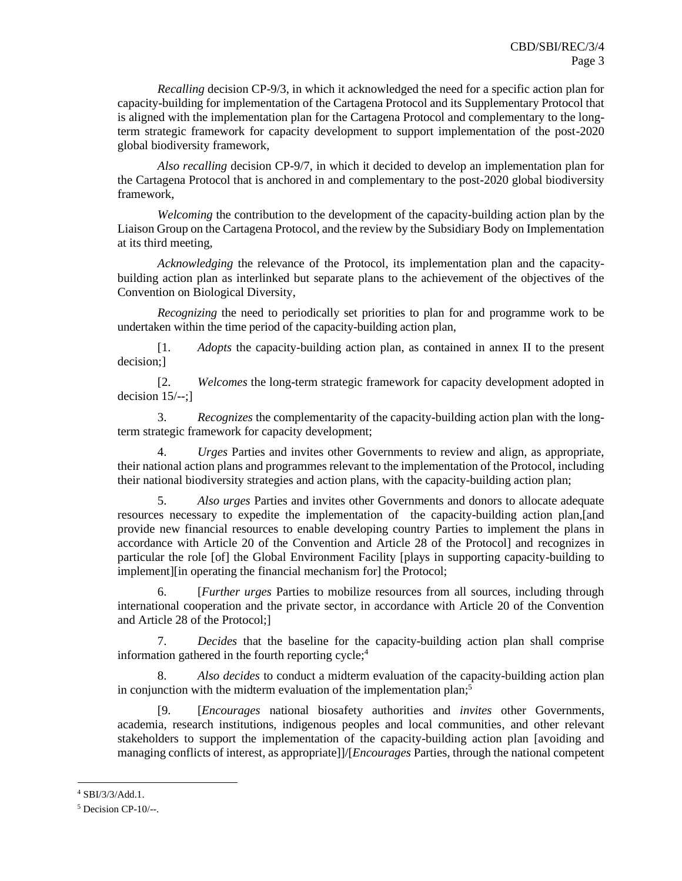*Recalling* decision CP-9/3, in which it acknowledged the need for a specific action plan for capacity-building for implementation of the Cartagena Protocol and its Supplementary Protocol that is aligned with the implementation plan for the Cartagena Protocol and complementary to the longterm strategic framework for capacity development to support implementation of the post-2020 global biodiversity framework,

*Also recalling* decision CP-9/7, in which it decided to develop an implementation plan for the Cartagena Protocol that is anchored in and complementary to the post-2020 global biodiversity framework,

*Welcoming* the contribution to the development of the capacity-building action plan by the Liaison Group on the Cartagena Protocol, and the review by the Subsidiary Body on Implementation at its third meeting,

*Acknowledging* the relevance of the Protocol, its implementation plan and the capacitybuilding action plan as interlinked but separate plans to the achievement of the objectives of the Convention on Biological Diversity,

*Recognizing* the need to periodically set priorities to plan for and programme work to be undertaken within the time period of the capacity-building action plan,

[1. *Adopts* the capacity-building action plan, as contained in annex II to the present decision;]

[2. *Welcomes* the long-term strategic framework for capacity development adopted in decision  $15/-$ ;]

3. *Recognizes* the complementarity of the capacity-building action plan with the longterm strategic framework for capacity development;

4. *Urges* Parties and invites other Governments to review and align, as appropriate, their national action plans and programmes relevant to the implementation of the Protocol, including their national biodiversity strategies and action plans, with the capacity-building action plan;

5. *Also urges* Parties and invites other Governments and donors to allocate adequate resources necessary to expedite the implementation of the capacity-building action plan,[and provide new financial resources to enable developing country Parties to implement the plans in accordance with Article 20 of the Convention and Article 28 of the Protocol] and recognizes in particular the role [of] the Global Environment Facility [plays in supporting capacity-building to implement][in operating the financial mechanism for] the Protocol;

6. [*Further urges* Parties to mobilize resources from all sources, including through international cooperation and the private sector, in accordance with Article 20 of the Convention and Article 28 of the Protocol;]

7. *Decides* that the baseline for the capacity-building action plan shall comprise information gathered in the fourth reporting  $cycle$ ;<sup>4</sup>

Also decides to conduct a midterm evaluation of the capacity-building action plan in conjunction with the midterm evaluation of the implementation plan; 5

[9. [*Encourages* national biosafety authorities and *invites* other Governments, academia, research institutions, indigenous peoples and local communities, and other relevant stakeholders to support the implementation of the capacity-building action plan [avoiding and managing conflicts of interest, as appropriate]]/[*Encourages* Parties, through the national competent

<sup>4</sup> SBI/3/3/Add.1.

<sup>5</sup> Decision CP-10/--.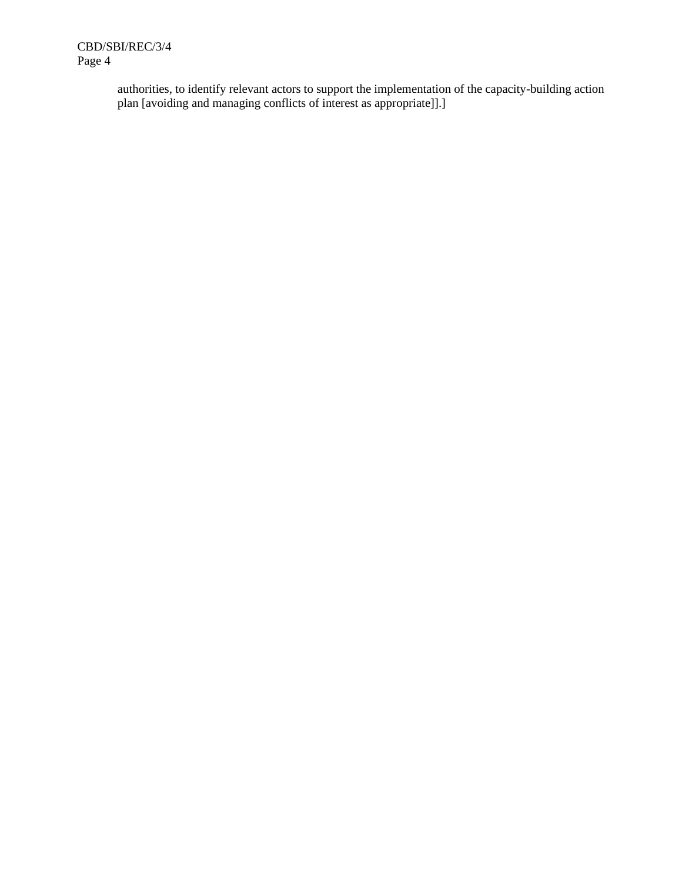authorities, to identify relevant actors to support the implementation of the capacity-building action plan [avoiding and managing conflicts of interest as appropriate]].]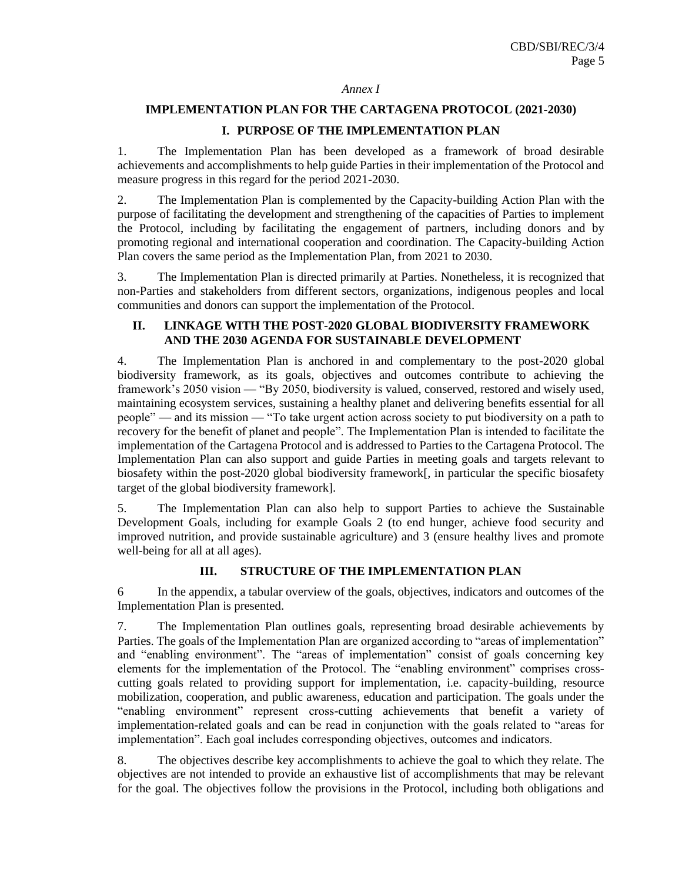#### *Annex I*

# **IMPLEMENTATION PLAN FOR THE CARTAGENA PROTOCOL (2021-2030) I. PURPOSE OF THE IMPLEMENTATION PLAN**

1. The Implementation Plan has been developed as a framework of broad desirable achievements and accomplishments to help guide Parties in their implementation of the Protocol and measure progress in this regard for the period 2021-2030.

2. The Implementation Plan is complemented by the Capacity-building Action Plan with the purpose of facilitating the development and strengthening of the capacities of Parties to implement the Protocol, including by facilitating the engagement of partners, including donors and by promoting regional and international cooperation and coordination. The Capacity-building Action Plan covers the same period as the Implementation Plan, from 2021 to 2030.

3. The Implementation Plan is directed primarily at Parties. Nonetheless, it is recognized that non-Parties and stakeholders from different sectors, organizations, indigenous peoples and local communities and donors can support the implementation of the Protocol.

#### **II. LINKAGE WITH THE POST-2020 GLOBAL BIODIVERSITY FRAMEWORK AND THE 2030 AGENDA FOR SUSTAINABLE DEVELOPMENT**

4. The Implementation Plan is anchored in and complementary to the post-2020 global biodiversity framework, as its goals, objectives and outcomes contribute to achieving the framework's 2050 vision — "By 2050, biodiversity is valued, conserved, restored and wisely used, maintaining ecosystem services, sustaining a healthy planet and delivering benefits essential for all people" — and its mission — "To take urgent action across society to put biodiversity on a path to recovery for the benefit of planet and people". The Implementation Plan is intended to facilitate the implementation of the Cartagena Protocol and is addressed to Parties to the Cartagena Protocol. The Implementation Plan can also support and guide Parties in meeting goals and targets relevant to biosafety within the post-2020 global biodiversity framework[, in particular the specific biosafety target of the global biodiversity framework].

5. The Implementation Plan can also help to support Parties to achieve the Sustainable Development Goals, including for example Goals 2 (to end hunger, achieve food security and improved nutrition, and provide sustainable agriculture) and 3 (ensure healthy lives and promote well-being for all at all ages).

#### **III. STRUCTURE OF THE IMPLEMENTATION PLAN**

6 In the appendix, a tabular overview of the goals, objectives, indicators and outcomes of the Implementation Plan is presented.

7. The Implementation Plan outlines goals, representing broad desirable achievements by Parties. The goals of the Implementation Plan are organized according to "areas of implementation" and "enabling environment". The "areas of implementation" consist of goals concerning key elements for the implementation of the Protocol. The "enabling environment" comprises crosscutting goals related to providing support for implementation, i.e. capacity-building, resource mobilization, cooperation, and public awareness, education and participation. The goals under the "enabling environment" represent cross-cutting achievements that benefit a variety of implementation-related goals and can be read in conjunction with the goals related to "areas for implementation". Each goal includes corresponding objectives, outcomes and indicators.

8. The objectives describe key accomplishments to achieve the goal to which they relate. The objectives are not intended to provide an exhaustive list of accomplishments that may be relevant for the goal. The objectives follow the provisions in the Protocol, including both obligations and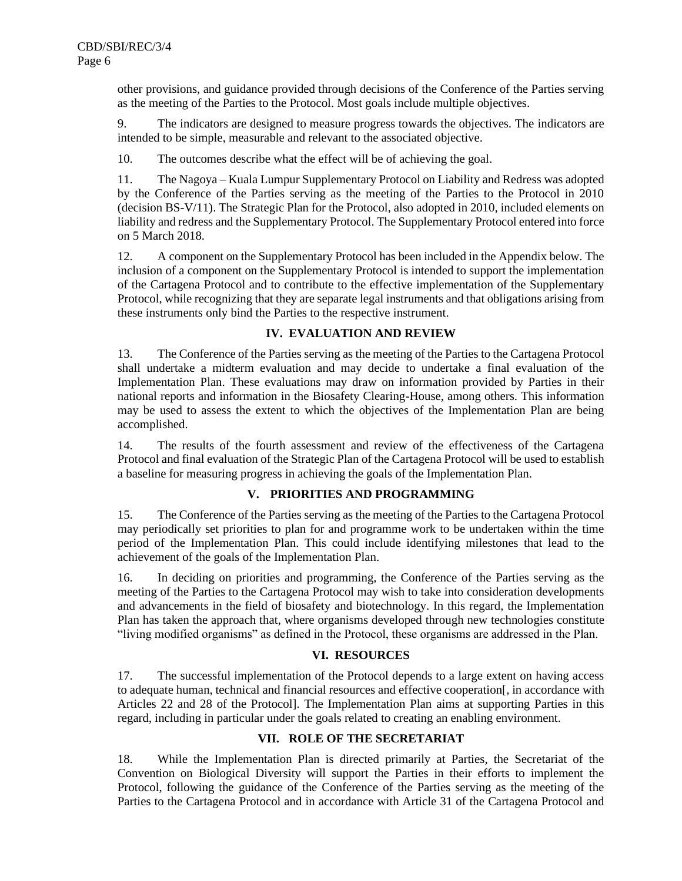other provisions, and guidance provided through decisions of the Conference of the Parties serving as the meeting of the Parties to the Protocol. Most goals include multiple objectives.

9. The indicators are designed to measure progress towards the objectives. The indicators are intended to be simple, measurable and relevant to the associated objective.

10. The outcomes describe what the effect will be of achieving the goal.

11. The Nagoya – Kuala Lumpur Supplementary Protocol on Liability and Redress was adopted by the Conference of the Parties serving as the meeting of the Parties to the Protocol in 2010 (decision BS-V/11). The Strategic Plan for the Protocol, also adopted in 2010, included elements on liability and redress and the Supplementary Protocol. The Supplementary Protocol entered into force on 5 March 2018.

12. A component on the Supplementary Protocol has been included in the Appendix below. The inclusion of a component on the Supplementary Protocol is intended to support the implementation of the Cartagena Protocol and to contribute to the effective implementation of the Supplementary Protocol, while recognizing that they are separate legal instruments and that obligations arising from these instruments only bind the Parties to the respective instrument.

# **IV. EVALUATION AND REVIEW**

13. The Conference of the Parties serving as the meeting of the Parties to the Cartagena Protocol shall undertake a midterm evaluation and may decide to undertake a final evaluation of the Implementation Plan. These evaluations may draw on information provided by Parties in their national reports and information in the Biosafety Clearing-House, among others. This information may be used to assess the extent to which the objectives of the Implementation Plan are being accomplished.

14. The results of the fourth assessment and review of the effectiveness of the Cartagena Protocol and final evaluation of the Strategic Plan of the Cartagena Protocol will be used to establish a baseline for measuring progress in achieving the goals of the Implementation Plan.

# **V. PRIORITIES AND PROGRAMMING**

15. The Conference of the Parties serving as the meeting of the Parties to the Cartagena Protocol may periodically set priorities to plan for and programme work to be undertaken within the time period of the Implementation Plan. This could include identifying milestones that lead to the achievement of the goals of the Implementation Plan.

16. In deciding on priorities and programming, the Conference of the Parties serving as the meeting of the Parties to the Cartagena Protocol may wish to take into consideration developments and advancements in the field of biosafety and biotechnology. In this regard, the Implementation Plan has taken the approach that, where organisms developed through new technologies constitute "living modified organisms" as defined in the Protocol, these organisms are addressed in the Plan.

# **VI. RESOURCES**

17. The successful implementation of the Protocol depends to a large extent on having access to adequate human, technical and financial resources and effective cooperation[, in accordance with Articles 22 and 28 of the Protocol]. The Implementation Plan aims at supporting Parties in this regard, including in particular under the goals related to creating an enabling environment.

# **VII. ROLE OF THE SECRETARIAT**

18. While the Implementation Plan is directed primarily at Parties, the Secretariat of the Convention on Biological Diversity will support the Parties in their efforts to implement the Protocol, following the guidance of the Conference of the Parties serving as the meeting of the Parties to the Cartagena Protocol and in accordance with Article 31 of the Cartagena Protocol and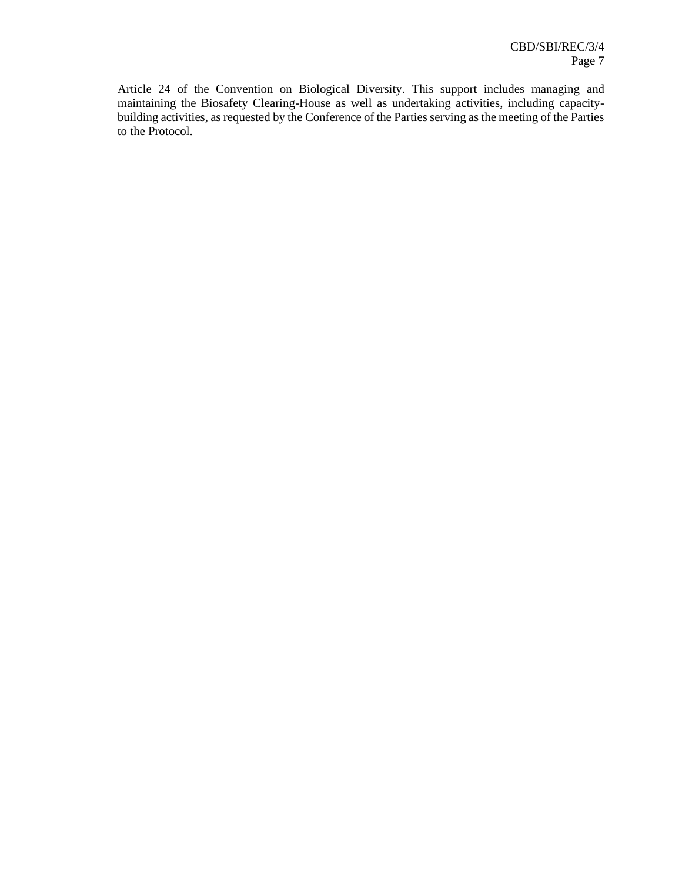Article 24 of the Convention on Biological Diversity. This support includes managing and maintaining the Biosafety Clearing-House as well as undertaking activities, including capacitybuilding activities, as requested by the Conference of the Parties serving as the meeting of the Parties to the Protocol.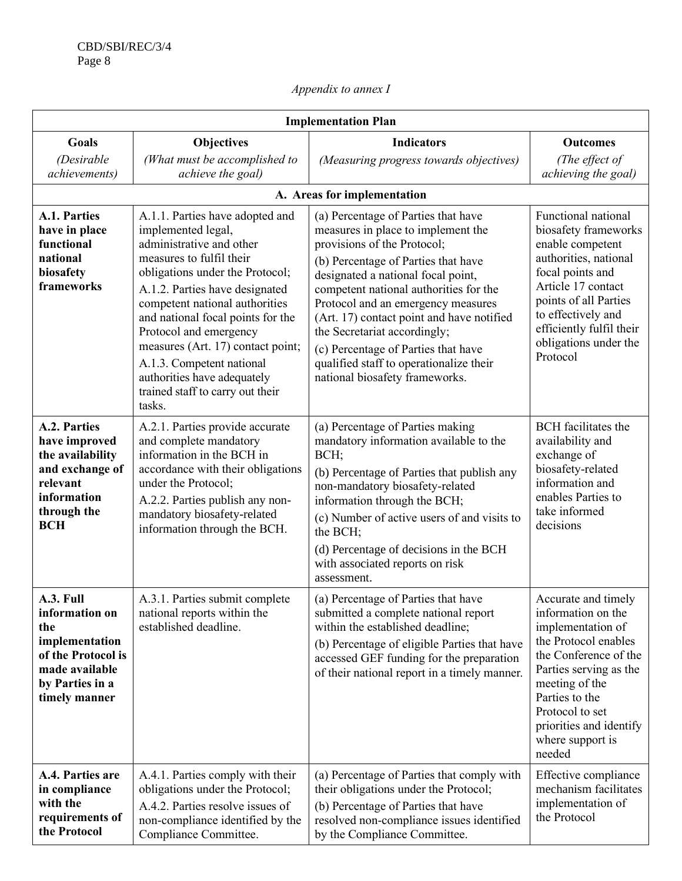# *Appendix to annex I*

| <b>Implementation Plan</b>                                                                                                       |                                                                                                                                                                                                                                                                                                                                                                                                                                    |                                                                                                                                                                                                                                                                                                                                                                                                                                                                        |                                                                                                                                                                                                                                                           |  |  |
|----------------------------------------------------------------------------------------------------------------------------------|------------------------------------------------------------------------------------------------------------------------------------------------------------------------------------------------------------------------------------------------------------------------------------------------------------------------------------------------------------------------------------------------------------------------------------|------------------------------------------------------------------------------------------------------------------------------------------------------------------------------------------------------------------------------------------------------------------------------------------------------------------------------------------------------------------------------------------------------------------------------------------------------------------------|-----------------------------------------------------------------------------------------------------------------------------------------------------------------------------------------------------------------------------------------------------------|--|--|
| Goals                                                                                                                            | <b>Objectives</b>                                                                                                                                                                                                                                                                                                                                                                                                                  | <b>Indicators</b>                                                                                                                                                                                                                                                                                                                                                                                                                                                      | <b>Outcomes</b>                                                                                                                                                                                                                                           |  |  |
| (Desirable<br><i>achievements</i> )                                                                                              | (What must be accomplished to<br>achieve the goal)                                                                                                                                                                                                                                                                                                                                                                                 | (Measuring progress towards objectives)                                                                                                                                                                                                                                                                                                                                                                                                                                | (The effect of<br>achieving the goal)                                                                                                                                                                                                                     |  |  |
|                                                                                                                                  |                                                                                                                                                                                                                                                                                                                                                                                                                                    | A. Areas for implementation                                                                                                                                                                                                                                                                                                                                                                                                                                            |                                                                                                                                                                                                                                                           |  |  |
| <b>A.1. Parties</b><br>have in place<br>functional<br>national<br>biosafety<br>frameworks                                        | A.1.1. Parties have adopted and<br>implemented legal,<br>administrative and other<br>measures to fulfil their<br>obligations under the Protocol;<br>A.1.2. Parties have designated<br>competent national authorities<br>and national focal points for the<br>Protocol and emergency<br>measures (Art. 17) contact point;<br>A.1.3. Competent national<br>authorities have adequately<br>trained staff to carry out their<br>tasks. | (a) Percentage of Parties that have<br>measures in place to implement the<br>provisions of the Protocol;<br>(b) Percentage of Parties that have<br>designated a national focal point,<br>competent national authorities for the<br>Protocol and an emergency measures<br>(Art. 17) contact point and have notified<br>the Secretariat accordingly;<br>(c) Percentage of Parties that have<br>qualified staff to operationalize their<br>national biosafety frameworks. | Functional national<br>biosafety frameworks<br>enable competent<br>authorities, national<br>focal points and<br>Article 17 contact<br>points of all Parties<br>to effectively and<br>efficiently fulfil their<br>obligations under the<br>Protocol        |  |  |
| A.2. Parties<br>have improved<br>the availability<br>and exchange of<br>relevant<br>information<br>through the<br><b>BCH</b>     | A.2.1. Parties provide accurate<br>and complete mandatory<br>information in the BCH in<br>accordance with their obligations<br>under the Protocol;<br>A.2.2. Parties publish any non-<br>mandatory biosafety-related<br>information through the BCH.                                                                                                                                                                               | (a) Percentage of Parties making<br>mandatory information available to the<br>BCH;<br>(b) Percentage of Parties that publish any<br>non-mandatory biosafety-related<br>information through the BCH;<br>(c) Number of active users of and visits to<br>the BCH;<br>(d) Percentage of decisions in the BCH<br>with associated reports on risk<br>assessment.                                                                                                             | <b>BCH</b> facilitates the<br>availability and<br>exchange of<br>biosafety-related<br>information and<br>enables Parties to<br>take informed<br>decisions                                                                                                 |  |  |
| A.3. Full<br>information on<br>the<br>implementation<br>of the Protocol is<br>made available<br>by Parties in a<br>timely manner | A.3.1. Parties submit complete<br>national reports within the<br>established deadline.                                                                                                                                                                                                                                                                                                                                             | (a) Percentage of Parties that have<br>submitted a complete national report<br>within the established deadline;<br>(b) Percentage of eligible Parties that have<br>accessed GEF funding for the preparation<br>of their national report in a timely manner.                                                                                                                                                                                                            | Accurate and timely<br>information on the<br>implementation of<br>the Protocol enables<br>the Conference of the<br>Parties serving as the<br>meeting of the<br>Parties to the<br>Protocol to set<br>priorities and identify<br>where support is<br>needed |  |  |
| A.4. Parties are<br>in compliance<br>with the<br>requirements of<br>the Protocol                                                 | A.4.1. Parties comply with their<br>obligations under the Protocol;<br>A.4.2. Parties resolve issues of<br>non-compliance identified by the<br>Compliance Committee.                                                                                                                                                                                                                                                               | (a) Percentage of Parties that comply with<br>their obligations under the Protocol;<br>(b) Percentage of Parties that have<br>resolved non-compliance issues identified<br>by the Compliance Committee.                                                                                                                                                                                                                                                                | Effective compliance<br>mechanism facilitates<br>implementation of<br>the Protocol                                                                                                                                                                        |  |  |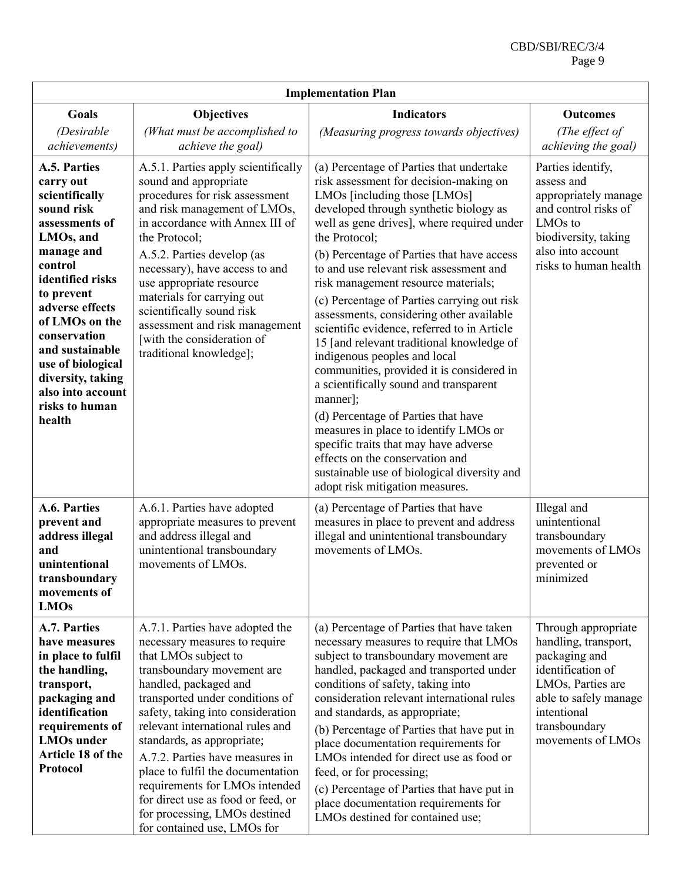| <b>Implementation Plan</b>                                                                                                                                                                                                                                                                                                              |                                                                                                                                                                                                                                                                                                                                                                                                                                                                                                           |                                                                                                                                                                                                                                                                                                                                                                                                                                                                                                                                                                                                                                                                                                                                                                                                                                                                                                                                     |                                                                                                                                                                                                     |  |  |  |
|-----------------------------------------------------------------------------------------------------------------------------------------------------------------------------------------------------------------------------------------------------------------------------------------------------------------------------------------|-----------------------------------------------------------------------------------------------------------------------------------------------------------------------------------------------------------------------------------------------------------------------------------------------------------------------------------------------------------------------------------------------------------------------------------------------------------------------------------------------------------|-------------------------------------------------------------------------------------------------------------------------------------------------------------------------------------------------------------------------------------------------------------------------------------------------------------------------------------------------------------------------------------------------------------------------------------------------------------------------------------------------------------------------------------------------------------------------------------------------------------------------------------------------------------------------------------------------------------------------------------------------------------------------------------------------------------------------------------------------------------------------------------------------------------------------------------|-----------------------------------------------------------------------------------------------------------------------------------------------------------------------------------------------------|--|--|--|
| Goals<br>(Desirable                                                                                                                                                                                                                                                                                                                     | <b>Objectives</b><br>(What must be accomplished to                                                                                                                                                                                                                                                                                                                                                                                                                                                        | <b>Indicators</b><br>(Measuring progress towards objectives)                                                                                                                                                                                                                                                                                                                                                                                                                                                                                                                                                                                                                                                                                                                                                                                                                                                                        | <b>Outcomes</b><br>(The effect of                                                                                                                                                                   |  |  |  |
| achievements)<br>A.5. Parties<br>carry out<br>scientifically<br>sound risk<br>assessments of<br>LMOs, and<br>manage and<br>control<br>identified risks<br>to prevent<br>adverse effects<br>of LMOs on the<br>conservation<br>and sustainable<br>use of biological<br>diversity, taking<br>also into account<br>risks to human<br>health | achieve the goal)<br>A.5.1. Parties apply scientifically<br>sound and appropriate<br>procedures for risk assessment<br>and risk management of LMOs,<br>in accordance with Annex III of<br>the Protocol;<br>A.5.2. Parties develop (as<br>necessary), have access to and<br>use appropriate resource<br>materials for carrying out<br>scientifically sound risk<br>assessment and risk management<br>[with the consideration of<br>traditional knowledge];                                                 | (a) Percentage of Parties that undertake<br>risk assessment for decision-making on<br>LMOs [including those [LMOs]<br>developed through synthetic biology as<br>well as gene drives], where required under<br>the Protocol;<br>(b) Percentage of Parties that have access<br>to and use relevant risk assessment and<br>risk management resource materials;<br>(c) Percentage of Parties carrying out risk<br>assessments, considering other available<br>scientific evidence, referred to in Article<br>15 [and relevant traditional knowledge of<br>indigenous peoples and local<br>communities, provided it is considered in<br>a scientifically sound and transparent<br>manner];<br>(d) Percentage of Parties that have<br>measures in place to identify LMOs or<br>specific traits that may have adverse<br>effects on the conservation and<br>sustainable use of biological diversity and<br>adopt risk mitigation measures. | achieving the goal)<br>Parties identify,<br>assess and<br>appropriately manage<br>and control risks of<br>LMO <sub>s</sub> to<br>biodiversity, taking<br>also into account<br>risks to human health |  |  |  |
| A.6. Parties<br>prevent and<br>address illegal<br>and<br>unintentional<br>transboundary<br>movements of<br><b>LMOs</b>                                                                                                                                                                                                                  | A.6.1. Parties have adopted<br>appropriate measures to prevent<br>and address illegal and<br>unintentional transboundary<br>movements of LMOs.                                                                                                                                                                                                                                                                                                                                                            | (a) Percentage of Parties that have<br>measures in place to prevent and address<br>illegal and unintentional transboundary<br>movements of LMOs.                                                                                                                                                                                                                                                                                                                                                                                                                                                                                                                                                                                                                                                                                                                                                                                    | Illegal and<br>unintentional<br>transboundary<br>movements of LMOs<br>prevented or<br>minimized                                                                                                     |  |  |  |
| A.7. Parties<br>have measures<br>in place to fulfil<br>the handling,<br>transport,<br>packaging and<br>identification<br>requirements of<br><b>LMOs</b> under<br>Article 18 of the<br><b>Protocol</b>                                                                                                                                   | A.7.1. Parties have adopted the<br>necessary measures to require<br>that LMOs subject to<br>transboundary movement are<br>handled, packaged and<br>transported under conditions of<br>safety, taking into consideration<br>relevant international rules and<br>standards, as appropriate;<br>A.7.2. Parties have measures in<br>place to fulfil the documentation<br>requirements for LMOs intended<br>for direct use as food or feed, or<br>for processing, LMOs destined<br>for contained use, LMOs for | (a) Percentage of Parties that have taken<br>necessary measures to require that LMOs<br>subject to transboundary movement are<br>handled, packaged and transported under<br>conditions of safety, taking into<br>consideration relevant international rules<br>and standards, as appropriate;<br>(b) Percentage of Parties that have put in<br>place documentation requirements for<br>LMOs intended for direct use as food or<br>feed, or for processing;<br>(c) Percentage of Parties that have put in<br>place documentation requirements for<br>LMOs destined for contained use;                                                                                                                                                                                                                                                                                                                                                | Through appropriate<br>handling, transport,<br>packaging and<br>identification of<br>LMOs, Parties are<br>able to safely manage<br>intentional<br>transboundary<br>movements of LMOs                |  |  |  |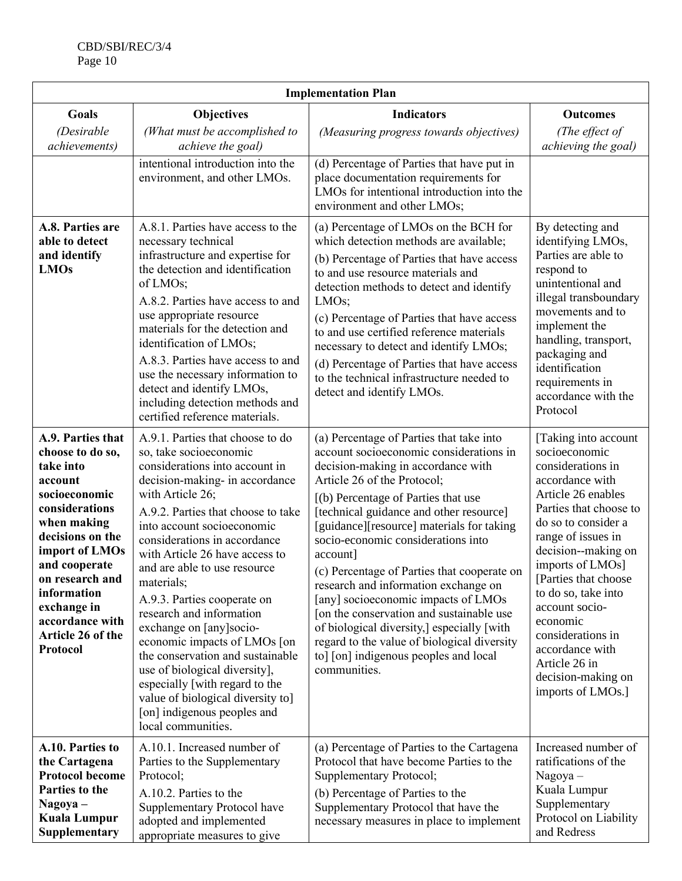| <b>Implementation Plan</b>                                                                                                                                                                                                                                                  |                                                                                                                                                                                                                                                                                                                                                                                                                                                                                                                                                                                                                                                               |                                                                                                                                                                                                                                                                                                                                                                                                                                                                                                                                                                                                                                                                           |                                                                                                                                                                                                                                                                                                                                                                                                        |  |  |  |
|-----------------------------------------------------------------------------------------------------------------------------------------------------------------------------------------------------------------------------------------------------------------------------|---------------------------------------------------------------------------------------------------------------------------------------------------------------------------------------------------------------------------------------------------------------------------------------------------------------------------------------------------------------------------------------------------------------------------------------------------------------------------------------------------------------------------------------------------------------------------------------------------------------------------------------------------------------|---------------------------------------------------------------------------------------------------------------------------------------------------------------------------------------------------------------------------------------------------------------------------------------------------------------------------------------------------------------------------------------------------------------------------------------------------------------------------------------------------------------------------------------------------------------------------------------------------------------------------------------------------------------------------|--------------------------------------------------------------------------------------------------------------------------------------------------------------------------------------------------------------------------------------------------------------------------------------------------------------------------------------------------------------------------------------------------------|--|--|--|
| Goals                                                                                                                                                                                                                                                                       | <b>Objectives</b>                                                                                                                                                                                                                                                                                                                                                                                                                                                                                                                                                                                                                                             | <b>Indicators</b>                                                                                                                                                                                                                                                                                                                                                                                                                                                                                                                                                                                                                                                         | <b>Outcomes</b>                                                                                                                                                                                                                                                                                                                                                                                        |  |  |  |
| (Desirable<br><i>achievements</i> )                                                                                                                                                                                                                                         | (What must be accomplished to<br>achieve the goal)                                                                                                                                                                                                                                                                                                                                                                                                                                                                                                                                                                                                            | (Measuring progress towards objectives)                                                                                                                                                                                                                                                                                                                                                                                                                                                                                                                                                                                                                                   | (The effect of<br>achieving the goal)                                                                                                                                                                                                                                                                                                                                                                  |  |  |  |
|                                                                                                                                                                                                                                                                             | intentional introduction into the<br>environment, and other LMOs.                                                                                                                                                                                                                                                                                                                                                                                                                                                                                                                                                                                             | (d) Percentage of Parties that have put in<br>place documentation requirements for<br>LMOs for intentional introduction into the<br>environment and other LMOs;                                                                                                                                                                                                                                                                                                                                                                                                                                                                                                           |                                                                                                                                                                                                                                                                                                                                                                                                        |  |  |  |
| A.8. Parties are<br>able to detect<br>and identify<br><b>LMOs</b>                                                                                                                                                                                                           | A.8.1. Parties have access to the<br>necessary technical<br>infrastructure and expertise for<br>the detection and identification<br>of LMOs;<br>A.8.2. Parties have access to and<br>use appropriate resource<br>materials for the detection and<br>identification of LMOs;<br>A.8.3. Parties have access to and<br>use the necessary information to<br>detect and identify LMOs,<br>including detection methods and<br>certified reference materials.                                                                                                                                                                                                        | (a) Percentage of LMOs on the BCH for<br>which detection methods are available;<br>(b) Percentage of Parties that have access<br>to and use resource materials and<br>detection methods to detect and identify<br>LMO <sub>s</sub> ;<br>(c) Percentage of Parties that have access<br>to and use certified reference materials<br>necessary to detect and identify LMOs;<br>(d) Percentage of Parties that have access<br>to the technical infrastructure needed to<br>detect and identify LMOs.                                                                                                                                                                          | By detecting and<br>identifying LMOs,<br>Parties are able to<br>respond to<br>unintentional and<br>illegal transboundary<br>movements and to<br>implement the<br>handling, transport,<br>packaging and<br>identification<br>requirements in<br>accordance with the<br>Protocol                                                                                                                         |  |  |  |
| A.9. Parties that<br>choose to do so,<br>take into<br>account<br>socioeconomic<br>considerations<br>when making<br>decisions on the<br>import of LMOs<br>and cooperate<br>on research and<br>information<br>exchange in<br>accordance with<br>Article 26 of the<br>Protocol | A.9.1. Parties that choose to do<br>so, take socioeconomic<br>considerations into account in<br>decision-making- in accordance<br>with Article 26;<br>A.9.2. Parties that choose to take<br>into account socioeconomic<br>considerations in accordance<br>with Article 26 have access to<br>and are able to use resource<br>materials;<br>A.9.3. Parties cooperate on<br>research and information<br>exchange on [any]socio-<br>economic impacts of LMOs [on<br>the conservation and sustainable<br>use of biological diversity],<br>especially [with regard to the<br>value of biological diversity to]<br>[on] indigenous peoples and<br>local communities. | (a) Percentage of Parties that take into<br>account socioeconomic considerations in<br>decision-making in accordance with<br>Article 26 of the Protocol;<br>[(b) Percentage of Parties that use<br>[technical guidance and other resource]<br>[guidance][resource] materials for taking<br>socio-economic considerations into<br>account]<br>(c) Percentage of Parties that cooperate on<br>research and information exchange on<br>[any] socioeconomic impacts of LMOs<br>[on the conservation and sustainable use<br>of biological diversity,] especially [with<br>regard to the value of biological diversity<br>to] [on] indigenous peoples and local<br>communities. | [Taking into account<br>socioeconomic<br>considerations in<br>accordance with<br>Article 26 enables<br>Parties that choose to<br>do so to consider a<br>range of issues in<br>decision--making on<br>imports of LMOs]<br>[Parties that choose<br>to do so, take into<br>account socio-<br>economic<br>considerations in<br>accordance with<br>Article 26 in<br>decision-making on<br>imports of LMOs.] |  |  |  |
| A.10. Parties to<br>the Cartagena<br><b>Protocol become</b><br>Parties to the<br>Nagoya –<br><b>Kuala Lumpur</b><br>Supplementary                                                                                                                                           | A.10.1. Increased number of<br>Parties to the Supplementary<br>Protocol;<br>A.10.2. Parties to the<br>Supplementary Protocol have<br>adopted and implemented<br>appropriate measures to give                                                                                                                                                                                                                                                                                                                                                                                                                                                                  | (a) Percentage of Parties to the Cartagena<br>Protocol that have become Parties to the<br>Supplementary Protocol;<br>(b) Percentage of Parties to the<br>Supplementary Protocol that have the<br>necessary measures in place to implement                                                                                                                                                                                                                                                                                                                                                                                                                                 | Increased number of<br>ratifications of the<br>$Nagoya -$<br>Kuala Lumpur<br>Supplementary<br>Protocol on Liability<br>and Redress                                                                                                                                                                                                                                                                     |  |  |  |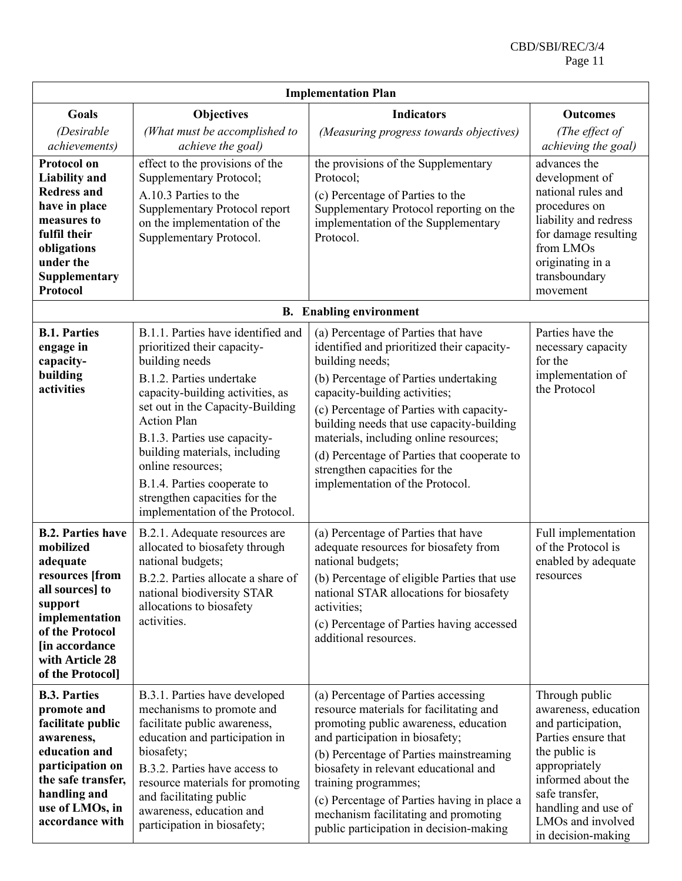| <b>Implementation Plan</b>                                                                                                                                                                       |                                                                                                                                                                                                                                                                                                                                                                                                        |                                                                                                                                                                                                                                                                                                                                                                                                                                      |                                                                                                                                                                                                                                 |  |  |
|--------------------------------------------------------------------------------------------------------------------------------------------------------------------------------------------------|--------------------------------------------------------------------------------------------------------------------------------------------------------------------------------------------------------------------------------------------------------------------------------------------------------------------------------------------------------------------------------------------------------|--------------------------------------------------------------------------------------------------------------------------------------------------------------------------------------------------------------------------------------------------------------------------------------------------------------------------------------------------------------------------------------------------------------------------------------|---------------------------------------------------------------------------------------------------------------------------------------------------------------------------------------------------------------------------------|--|--|
| <b>Goals</b><br>(Desirable<br>achievements)                                                                                                                                                      | <b>Objectives</b><br>(What must be accomplished to<br>achieve the goal)                                                                                                                                                                                                                                                                                                                                | <b>Indicators</b><br>(Measuring progress towards objectives)                                                                                                                                                                                                                                                                                                                                                                         | <b>Outcomes</b><br>(The effect of<br>achieving the goal)                                                                                                                                                                        |  |  |
| <b>Protocol on</b><br><b>Liability and</b><br><b>Redress and</b><br>have in place<br>measures to<br>fulfil their<br>obligations<br>under the<br>Supplementary<br><b>Protocol</b>                 | effect to the provisions of the<br>Supplementary Protocol;<br>A.10.3 Parties to the<br>Supplementary Protocol report<br>on the implementation of the<br>Supplementary Protocol.                                                                                                                                                                                                                        | the provisions of the Supplementary<br>Protocol;<br>(c) Percentage of Parties to the<br>Supplementary Protocol reporting on the<br>implementation of the Supplementary<br>Protocol.                                                                                                                                                                                                                                                  | advances the<br>development of<br>national rules and<br>procedures on<br>liability and redress<br>for damage resulting<br>from LMOs<br>originating in a<br>transboundary<br>movement                                            |  |  |
|                                                                                                                                                                                                  |                                                                                                                                                                                                                                                                                                                                                                                                        | <b>B.</b> Enabling environment                                                                                                                                                                                                                                                                                                                                                                                                       |                                                                                                                                                                                                                                 |  |  |
| <b>B.1. Parties</b><br>engage in<br>capacity-<br>building<br>activities                                                                                                                          | B.1.1. Parties have identified and<br>prioritized their capacity-<br>building needs<br>B.1.2. Parties undertake<br>capacity-building activities, as<br>set out in the Capacity-Building<br><b>Action Plan</b><br>B.1.3. Parties use capacity-<br>building materials, including<br>online resources;<br>B.1.4. Parties cooperate to<br>strengthen capacities for the<br>implementation of the Protocol. | (a) Percentage of Parties that have<br>identified and prioritized their capacity-<br>building needs;<br>(b) Percentage of Parties undertaking<br>capacity-building activities;<br>(c) Percentage of Parties with capacity-<br>building needs that use capacity-building<br>materials, including online resources;<br>(d) Percentage of Parties that cooperate to<br>strengthen capacities for the<br>implementation of the Protocol. | Parties have the<br>necessary capacity<br>for the<br>implementation of<br>the Protocol                                                                                                                                          |  |  |
| <b>B.2. Parties have</b><br>mobilized<br>adequate<br>resources [from<br>all sources] to<br>support<br>implementation<br>of the Protocol<br>[in accordance<br>with Article 28<br>of the Protocol] | B.2.1. Adequate resources are<br>allocated to biosafety through<br>national budgets;<br>B.2.2. Parties allocate a share of<br>national biodiversity STAR<br>allocations to biosafety<br>activities.                                                                                                                                                                                                    | (a) Percentage of Parties that have<br>adequate resources for biosafety from<br>national budgets;<br>(b) Percentage of eligible Parties that use<br>national STAR allocations for biosafety<br>activities;<br>(c) Percentage of Parties having accessed<br>additional resources.                                                                                                                                                     | Full implementation<br>of the Protocol is<br>enabled by adequate<br>resources                                                                                                                                                   |  |  |
| <b>B.3. Parties</b><br>promote and<br>facilitate public<br>awareness,<br>education and<br>participation on<br>the safe transfer,<br>handling and<br>use of LMOs, in<br>accordance with           | B.3.1. Parties have developed<br>mechanisms to promote and<br>facilitate public awareness,<br>education and participation in<br>biosafety;<br>B.3.2. Parties have access to<br>resource materials for promoting<br>and facilitating public<br>awareness, education and<br>participation in biosafety;                                                                                                  | (a) Percentage of Parties accessing<br>resource materials for facilitating and<br>promoting public awareness, education<br>and participation in biosafety;<br>(b) Percentage of Parties mainstreaming<br>biosafety in relevant educational and<br>training programmes;<br>(c) Percentage of Parties having in place a<br>mechanism facilitating and promoting<br>public participation in decision-making                             | Through public<br>awareness, education<br>and participation,<br>Parties ensure that<br>the public is<br>appropriately<br>informed about the<br>safe transfer,<br>handling and use of<br>LMOs and involved<br>in decision-making |  |  |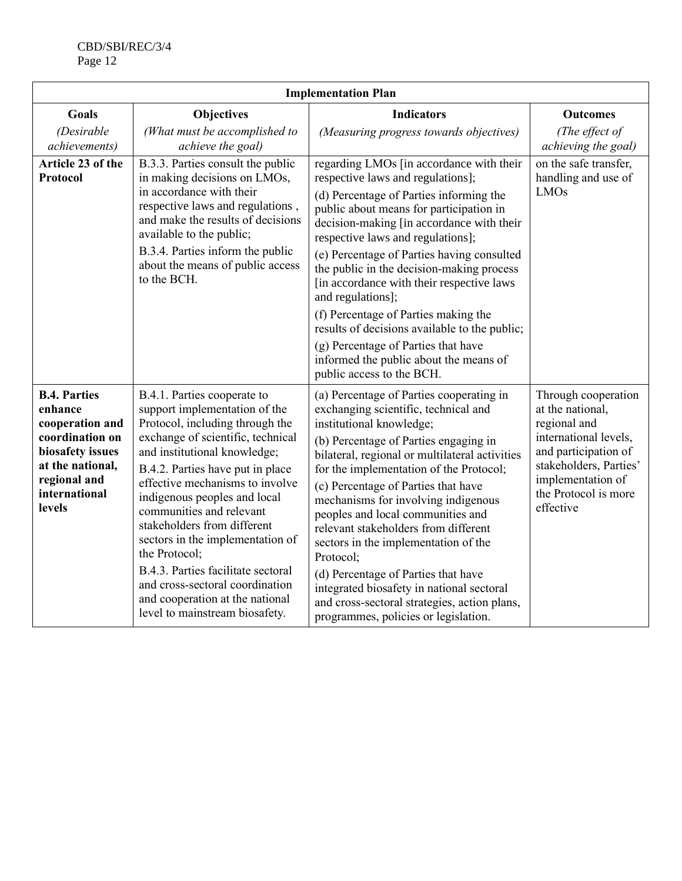| <b>Implementation Plan</b>                                                                                                                              |                                                                                                                                                                                                                                                                                                                                                                                                                                                                                                                                           |                                                                                                                                                                                                                                                                                                                                                                                                                                                                                                                                                                                                                                                |                                                                                                                                                                                              |  |  |  |  |
|---------------------------------------------------------------------------------------------------------------------------------------------------------|-------------------------------------------------------------------------------------------------------------------------------------------------------------------------------------------------------------------------------------------------------------------------------------------------------------------------------------------------------------------------------------------------------------------------------------------------------------------------------------------------------------------------------------------|------------------------------------------------------------------------------------------------------------------------------------------------------------------------------------------------------------------------------------------------------------------------------------------------------------------------------------------------------------------------------------------------------------------------------------------------------------------------------------------------------------------------------------------------------------------------------------------------------------------------------------------------|----------------------------------------------------------------------------------------------------------------------------------------------------------------------------------------------|--|--|--|--|
| <b>Goals</b><br>(Desirable<br>achievements)                                                                                                             | <b>Objectives</b><br>(What must be accomplished to<br>achieve the goal)                                                                                                                                                                                                                                                                                                                                                                                                                                                                   | <b>Indicators</b><br>(Measuring progress towards objectives)                                                                                                                                                                                                                                                                                                                                                                                                                                                                                                                                                                                   | <b>Outcomes</b><br>(The effect of<br>achieving the goal)                                                                                                                                     |  |  |  |  |
| Article 23 of the<br><b>Protocol</b>                                                                                                                    | B.3.3. Parties consult the public<br>in making decisions on LMOs,<br>in accordance with their<br>respective laws and regulations,<br>and make the results of decisions<br>available to the public;<br>B.3.4. Parties inform the public<br>about the means of public access<br>to the BCH.                                                                                                                                                                                                                                                 | regarding LMOs [in accordance with their<br>respective laws and regulations];<br>(d) Percentage of Parties informing the<br>public about means for participation in<br>decision-making [in accordance with their<br>respective laws and regulations];<br>(e) Percentage of Parties having consulted<br>the public in the decision-making process<br>[in accordance with their respective laws<br>and regulations];<br>(f) Percentage of Parties making the<br>results of decisions available to the public;<br>(g) Percentage of Parties that have<br>informed the public about the means of<br>public access to the BCH.                      | on the safe transfer,<br>handling and use of<br><b>LMOs</b>                                                                                                                                  |  |  |  |  |
| <b>B.4. Parties</b><br>enhance<br>cooperation and<br>coordination on<br>biosafety issues<br>at the national,<br>regional and<br>international<br>levels | B.4.1. Parties cooperate to<br>support implementation of the<br>Protocol, including through the<br>exchange of scientific, technical<br>and institutional knowledge;<br>B.4.2. Parties have put in place<br>effective mechanisms to involve<br>indigenous peoples and local<br>communities and relevant<br>stakeholders from different<br>sectors in the implementation of<br>the Protocol;<br>B.4.3. Parties facilitate sectoral<br>and cross-sectoral coordination<br>and cooperation at the national<br>level to mainstream biosafety. | (a) Percentage of Parties cooperating in<br>exchanging scientific, technical and<br>institutional knowledge;<br>(b) Percentage of Parties engaging in<br>bilateral, regional or multilateral activities<br>for the implementation of the Protocol;<br>(c) Percentage of Parties that have<br>mechanisms for involving indigenous<br>peoples and local communities and<br>relevant stakeholders from different<br>sectors in the implementation of the<br>Protocol;<br>(d) Percentage of Parties that have<br>integrated biosafety in national sectoral<br>and cross-sectoral strategies, action plans,<br>programmes, policies or legislation. | Through cooperation<br>at the national,<br>regional and<br>international levels,<br>and participation of<br>stakeholders, Parties'<br>implementation of<br>the Protocol is more<br>effective |  |  |  |  |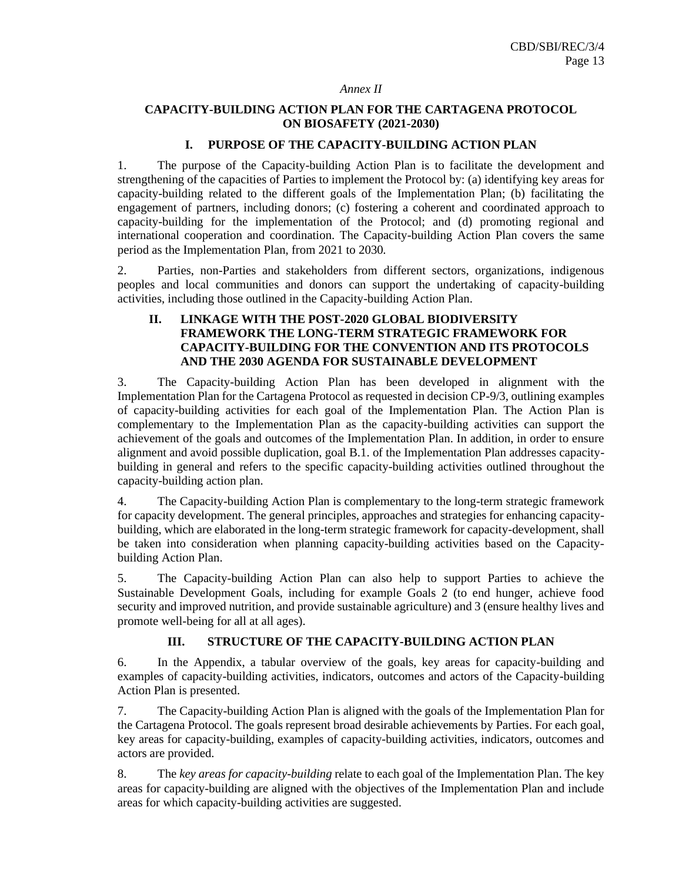#### *Annex II*

#### **CAPACITY-BUILDING ACTION PLAN FOR THE CARTAGENA PROTOCOL ON BIOSAFETY (2021-2030)**

#### **I. PURPOSE OF THE CAPACITY-BUILDING ACTION PLAN**

1. The purpose of the Capacity-building Action Plan is to facilitate the development and strengthening of the capacities of Parties to implement the Protocol by: (a) identifying key areas for capacity-building related to the different goals of the Implementation Plan; (b) facilitating the engagement of partners, including donors; (c) fostering a coherent and coordinated approach to capacity-building for the implementation of the Protocol; and (d) promoting regional and international cooperation and coordination. The Capacity-building Action Plan covers the same period as the Implementation Plan, from 2021 to 2030.

2. Parties, non-Parties and stakeholders from different sectors, organizations, indigenous peoples and local communities and donors can support the undertaking of capacity-building activities, including those outlined in the Capacity-building Action Plan.

#### **II. LINKAGE WITH THE POST-2020 GLOBAL BIODIVERSITY FRAMEWORK THE LONG-TERM STRATEGIC FRAMEWORK FOR CAPACITY-BUILDING FOR THE CONVENTION AND ITS PROTOCOLS AND THE 2030 AGENDA FOR SUSTAINABLE DEVELOPMENT**

3. The Capacity-building Action Plan has been developed in alignment with the Implementation Plan for the Cartagena Protocol as requested in decision CP-9/3, outlining examples of capacity-building activities for each goal of the Implementation Plan. The Action Plan is complementary to the Implementation Plan as the capacity-building activities can support the achievement of the goals and outcomes of the Implementation Plan. In addition, in order to ensure alignment and avoid possible duplication, goal B.1. of the Implementation Plan addresses capacitybuilding in general and refers to the specific capacity-building activities outlined throughout the capacity-building action plan.

4. The Capacity-building Action Plan is complementary to the long-term strategic framework for capacity development. The general principles, approaches and strategies for enhancing capacitybuilding, which are elaborated in the long-term strategic framework for capacity-development, shall be taken into consideration when planning capacity-building activities based on the Capacitybuilding Action Plan.

5. The Capacity-building Action Plan can also help to support Parties to achieve the Sustainable Development Goals, including for example Goals 2 (to end hunger, achieve food security and improved nutrition, and provide sustainable agriculture) and 3 (ensure healthy lives and promote well-being for all at all ages).

#### **III. STRUCTURE OF THE CAPACITY-BUILDING ACTION PLAN**

6. In the Appendix, a tabular overview of the goals, key areas for capacity-building and examples of capacity-building activities, indicators, outcomes and actors of the Capacity-building Action Plan is presented.

7. The Capacity-building Action Plan is aligned with the goals of the Implementation Plan for the Cartagena Protocol. The goals represent broad desirable achievements by Parties. For each goal, key areas for capacity-building, examples of capacity-building activities, indicators, outcomes and actors are provided.

8. The *key areas for capacity-building* relate to each goal of the Implementation Plan. The key areas for capacity-building are aligned with the objectives of the Implementation Plan and include areas for which capacity-building activities are suggested.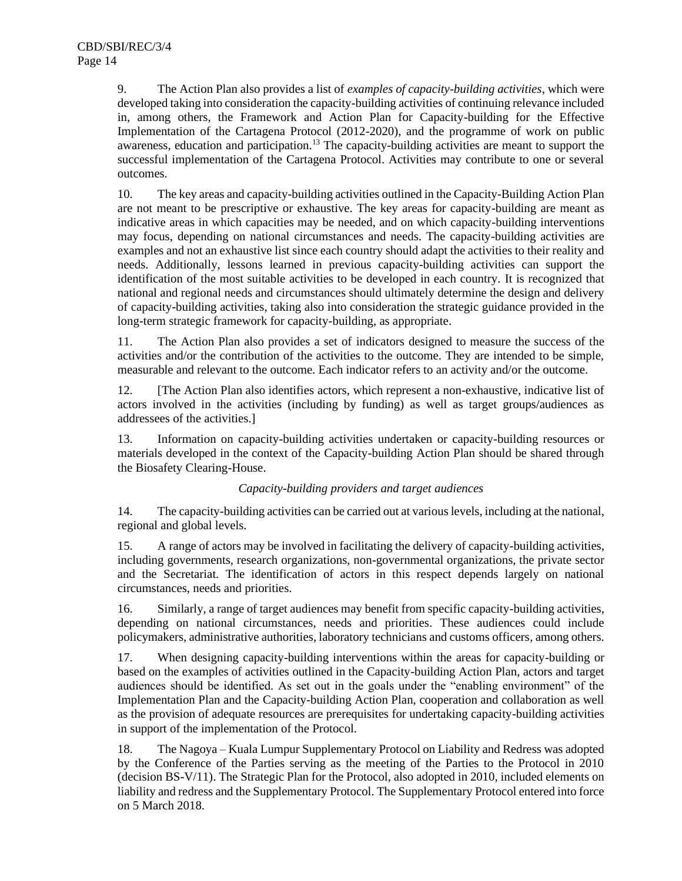9. The Action Plan also provides a list of *examples of capacity-building activities*, which were developed taking into consideration the capacity-building activities of continuing relevance included in, among others, the Framework and Action Plan for Capacity-building for the Effective Implementation of the Cartagena Protocol (2012-2020), and the programme of work on public awareness, education and participation.<sup>13</sup> The capacity-building activities are meant to support the successful implementation of the Cartagena Protocol. Activities may contribute to one or several outcomes.

10. The key areas and capacity-building activities outlined in the Capacity-Building Action Plan are not meant to be prescriptive or exhaustive. The key areas for capacity-building are meant as indicative areas in which capacities may be needed, and on which capacity-building interventions may focus, depending on national circumstances and needs. The capacity-building activities are examples and not an exhaustive list since each country should adapt the activities to their reality and needs. Additionally, lessons learned in previous capacity-building activities can support the identification of the most suitable activities to be developed in each country. It is recognized that national and regional needs and circumstances should ultimately determine the design and delivery of capacity-building activities, taking also into consideration the strategic guidance provided in the long-term strategic framework for capacity-building, as appropriate.

11. The Action Plan also provides a set of indicators designed to measure the success of the activities and/or the contribution of the activities to the outcome. They are intended to be simple, measurable and relevant to the outcome. Each indicator refers to an activity and/or the outcome.

12. [The Action Plan also identifies actors, which represent a non-exhaustive, indicative list of actors involved in the activities (including by funding) as well as target groups/audiences as addressees of the activities.]

13. Information on capacity-building activities undertaken or capacity-building resources or materials developed in the context of the Capacity-building Action Plan should be shared through the Biosafety Clearing-House.

# *Capacity-building providers and target audiences*

14. The capacity-building activities can be carried out at various levels, including at the national, regional and global levels.

15. A range of actors may be involved in facilitating the delivery of capacity-building activities, including governments, research organizations, non-governmental organizations, the private sector and the Secretariat. The identification of actors in this respect depends largely on national circumstances, needs and priorities.

16. Similarly, a range of target audiences may benefit from specific capacity-building activities, depending on national circumstances, needs and priorities. These audiences could include policymakers, administrative authorities, laboratory technicians and customs officers, among others.

17. When designing capacity-building interventions within the areas for capacity-building or based on the examples of activities outlined in the Capacity-building Action Plan, actors and target audiences should be identified. As set out in the goals under the "enabling environment" of the Implementation Plan and the Capacity-building Action Plan, cooperation and collaboration as well as the provision of adequate resources are prerequisites for undertaking capacity-building activities in support of the implementation of the Protocol.

18. The Nagoya – Kuala Lumpur Supplementary Protocol on Liability and Redress was adopted by the Conference of the Parties serving as the meeting of the Parties to the Protocol in 2010 (decision BS-V/11). The Strategic Plan for the Protocol, also adopted in 2010, included elements on liability and redress and the Supplementary Protocol. The Supplementary Protocol entered into force on 5 March 2018.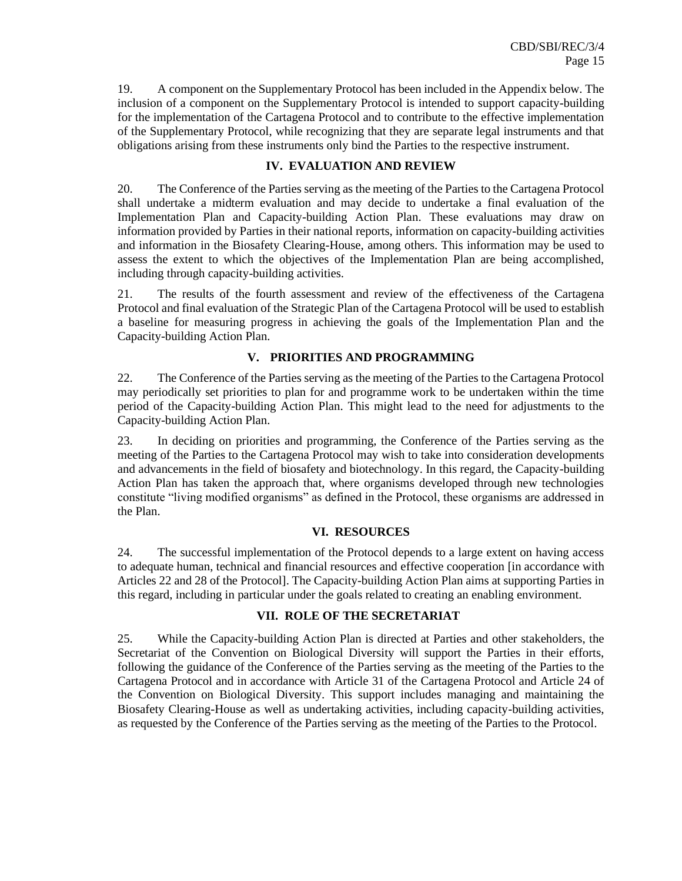19. A component on the Supplementary Protocol has been included in the Appendix below. The inclusion of a component on the Supplementary Protocol is intended to support capacity-building for the implementation of the Cartagena Protocol and to contribute to the effective implementation of the Supplementary Protocol, while recognizing that they are separate legal instruments and that obligations arising from these instruments only bind the Parties to the respective instrument.

# **IV. EVALUATION AND REVIEW**

20. The Conference of the Parties serving as the meeting of the Parties to the Cartagena Protocol shall undertake a midterm evaluation and may decide to undertake a final evaluation of the Implementation Plan and Capacity-building Action Plan. These evaluations may draw on information provided by Parties in their national reports, information on capacity-building activities and information in the Biosafety Clearing-House, among others. This information may be used to assess the extent to which the objectives of the Implementation Plan are being accomplished, including through capacity-building activities.

21. The results of the fourth assessment and review of the effectiveness of the Cartagena Protocol and final evaluation of the Strategic Plan of the Cartagena Protocol will be used to establish a baseline for measuring progress in achieving the goals of the Implementation Plan and the Capacity-building Action Plan.

## **V. PRIORITIES AND PROGRAMMING**

22. The Conference of the Parties serving as the meeting of the Parties to the Cartagena Protocol may periodically set priorities to plan for and programme work to be undertaken within the time period of the Capacity-building Action Plan. This might lead to the need for adjustments to the Capacity-building Action Plan.

23. In deciding on priorities and programming, the Conference of the Parties serving as the meeting of the Parties to the Cartagena Protocol may wish to take into consideration developments and advancements in the field of biosafety and biotechnology. In this regard, the Capacity-building Action Plan has taken the approach that, where organisms developed through new technologies constitute "living modified organisms" as defined in the Protocol, these organisms are addressed in the Plan.

#### **VI. RESOURCES**

24. The successful implementation of the Protocol depends to a large extent on having access to adequate human, technical and financial resources and effective cooperation [in accordance with Articles 22 and 28 of the Protocol]. The Capacity-building Action Plan aims at supporting Parties in this regard, including in particular under the goals related to creating an enabling environment.

#### **VII. ROLE OF THE SECRETARIAT**

25. While the Capacity-building Action Plan is directed at Parties and other stakeholders, the Secretariat of the Convention on Biological Diversity will support the Parties in their efforts, following the guidance of the Conference of the Parties serving as the meeting of the Parties to the Cartagena Protocol and in accordance with Article 31 of the Cartagena Protocol and Article 24 of the Convention on Biological Diversity. This support includes managing and maintaining the Biosafety Clearing-House as well as undertaking activities, including capacity-building activities, as requested by the Conference of the Parties serving as the meeting of the Parties to the Protocol.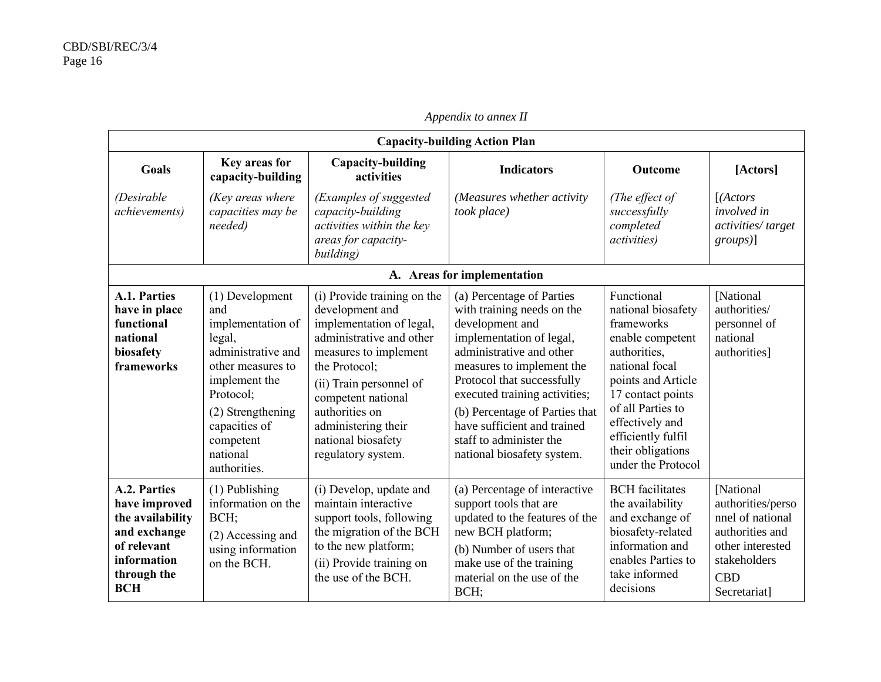| <b>Capacity-building Action Plan</b>                                                                                         |                                                                                                                                                                                                               |                                                                                                                                                                                                                                                                                        |                                                                                                                                                                                                                                                                                                                                                          |                                                                                                                                                                                                                                                          |                                                                                                                                         |
|------------------------------------------------------------------------------------------------------------------------------|---------------------------------------------------------------------------------------------------------------------------------------------------------------------------------------------------------------|----------------------------------------------------------------------------------------------------------------------------------------------------------------------------------------------------------------------------------------------------------------------------------------|----------------------------------------------------------------------------------------------------------------------------------------------------------------------------------------------------------------------------------------------------------------------------------------------------------------------------------------------------------|----------------------------------------------------------------------------------------------------------------------------------------------------------------------------------------------------------------------------------------------------------|-----------------------------------------------------------------------------------------------------------------------------------------|
| <b>Goals</b>                                                                                                                 | Key areas for<br>capacity-building                                                                                                                                                                            | <b>Capacity-building</b><br>activities                                                                                                                                                                                                                                                 | <b>Indicators</b>                                                                                                                                                                                                                                                                                                                                        | <b>Outcome</b>                                                                                                                                                                                                                                           | [Actors]                                                                                                                                |
| (Desirable)<br><i>achievements</i> )                                                                                         | (Key areas where<br>capacities may be<br>needed)                                                                                                                                                              | (Examples of suggested<br>capacity-building<br>activities within the key<br>areas for capacity-<br>building)                                                                                                                                                                           | (Measures whether activity<br>took place)                                                                                                                                                                                                                                                                                                                | (The effect of<br>successfully<br>completed<br><i>activities</i> )                                                                                                                                                                                       | [(Actors<br>involved in<br>activities/target<br>$groups)$ ]                                                                             |
|                                                                                                                              |                                                                                                                                                                                                               |                                                                                                                                                                                                                                                                                        | A. Areas for implementation                                                                                                                                                                                                                                                                                                                              |                                                                                                                                                                                                                                                          |                                                                                                                                         |
| A.1. Parties<br>have in place<br>functional<br>national<br>biosafety<br>frameworks                                           | (1) Development<br>and<br>implementation of<br>legal,<br>administrative and<br>other measures to<br>implement the<br>Protocol:<br>(2) Strengthening<br>capacities of<br>competent<br>national<br>authorities. | (i) Provide training on the<br>development and<br>implementation of legal,<br>administrative and other<br>measures to implement<br>the Protocol;<br>(ii) Train personnel of<br>competent national<br>authorities on<br>administering their<br>national biosafety<br>regulatory system. | (a) Percentage of Parties<br>with training needs on the<br>development and<br>implementation of legal,<br>administrative and other<br>measures to implement the<br>Protocol that successfully<br>executed training activities;<br>(b) Percentage of Parties that<br>have sufficient and trained<br>staff to administer the<br>national biosafety system. | Functional<br>national biosafety<br>frameworks<br>enable competent<br>authorities,<br>national focal<br>points and Article<br>17 contact points<br>of all Parties to<br>effectively and<br>efficiently fulfil<br>their obligations<br>under the Protocol | [National<br>authorities/<br>personnel of<br>national<br>authorities]                                                                   |
| A.2. Parties<br>have improved<br>the availability<br>and exchange<br>of relevant<br>information<br>through the<br><b>BCH</b> | (1) Publishing<br>information on the<br>BCH;<br>(2) Accessing and<br>using information<br>on the BCH.                                                                                                         | (i) Develop, update and<br>maintain interactive<br>support tools, following<br>the migration of the BCH<br>to the new platform;<br>(ii) Provide training on<br>the use of the BCH.                                                                                                     | (a) Percentage of interactive<br>support tools that are<br>updated to the features of the<br>new BCH platform;<br>(b) Number of users that<br>make use of the training<br>material on the use of the<br>BCH;                                                                                                                                             | <b>BCH</b> facilitates<br>the availability<br>and exchange of<br>biosafety-related<br>information and<br>enables Parties to<br>take informed<br>decisions                                                                                                | [National<br>authorities/perso<br>nnel of national<br>authorities and<br>other interested<br>stakeholders<br><b>CBD</b><br>Secretariat] |

*Appendix to annex II*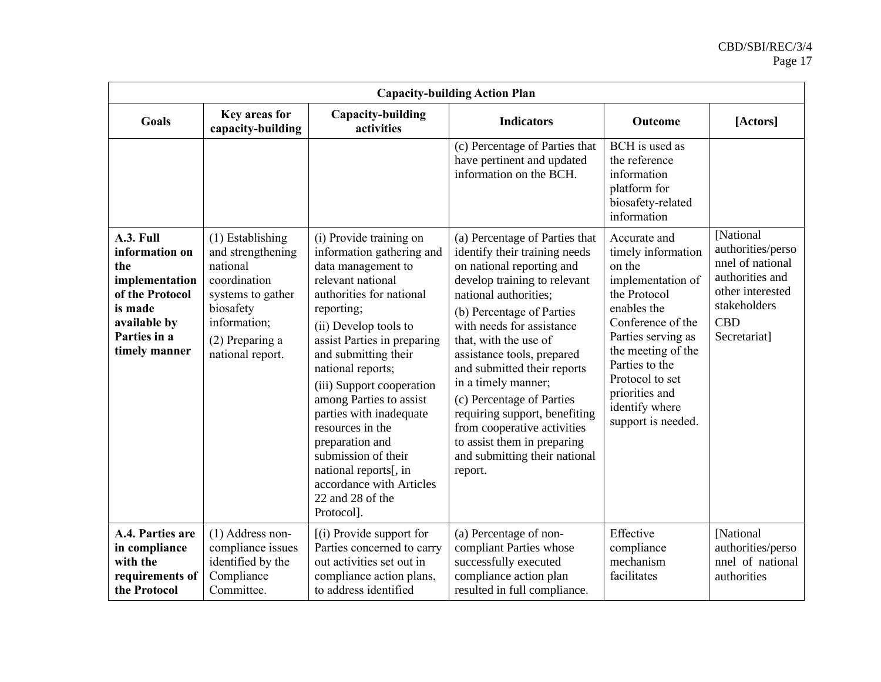|                                                                                                                                     |                                                                                                                                                              |                                                                                                                                                                                                                                                                                                                                                                                                                                                                                        | <b>Capacity-building Action Plan</b>                                                                                                                                                                                                                                                                                                                                                                                                                                                                 |                                                                                                                                                                                                                                                                  |                                                                                                                                         |
|-------------------------------------------------------------------------------------------------------------------------------------|--------------------------------------------------------------------------------------------------------------------------------------------------------------|----------------------------------------------------------------------------------------------------------------------------------------------------------------------------------------------------------------------------------------------------------------------------------------------------------------------------------------------------------------------------------------------------------------------------------------------------------------------------------------|------------------------------------------------------------------------------------------------------------------------------------------------------------------------------------------------------------------------------------------------------------------------------------------------------------------------------------------------------------------------------------------------------------------------------------------------------------------------------------------------------|------------------------------------------------------------------------------------------------------------------------------------------------------------------------------------------------------------------------------------------------------------------|-----------------------------------------------------------------------------------------------------------------------------------------|
| <b>Goals</b>                                                                                                                        | Key areas for<br>capacity-building                                                                                                                           | Capacity-building<br>activities                                                                                                                                                                                                                                                                                                                                                                                                                                                        | <b>Indicators</b>                                                                                                                                                                                                                                                                                                                                                                                                                                                                                    | Outcome                                                                                                                                                                                                                                                          | [Actors]                                                                                                                                |
|                                                                                                                                     |                                                                                                                                                              |                                                                                                                                                                                                                                                                                                                                                                                                                                                                                        | (c) Percentage of Parties that<br>have pertinent and updated<br>information on the BCH.                                                                                                                                                                                                                                                                                                                                                                                                              | BCH is used as<br>the reference<br>information<br>platform for<br>biosafety-related<br>information                                                                                                                                                               |                                                                                                                                         |
| A.3. Full<br>information on<br>the<br>implementation<br>of the Protocol<br>is made<br>available by<br>Parties in a<br>timely manner | $(1)$ Establishing<br>and strengthening<br>national<br>coordination<br>systems to gather<br>biosafety<br>information;<br>(2) Preparing a<br>national report. | (i) Provide training on<br>information gathering and<br>data management to<br>relevant national<br>authorities for national<br>reporting;<br>(ii) Develop tools to<br>assist Parties in preparing<br>and submitting their<br>national reports;<br>(iii) Support cooperation<br>among Parties to assist<br>parties with inadequate<br>resources in the<br>preparation and<br>submission of their<br>national reports[, in<br>accordance with Articles<br>22 and 28 of the<br>Protocol]. | (a) Percentage of Parties that<br>identify their training needs<br>on national reporting and<br>develop training to relevant<br>national authorities;<br>(b) Percentage of Parties<br>with needs for assistance<br>that, with the use of<br>assistance tools, prepared<br>and submitted their reports<br>in a timely manner;<br>(c) Percentage of Parties<br>requiring support, benefiting<br>from cooperative activities<br>to assist them in preparing<br>and submitting their national<br>report. | Accurate and<br>timely information<br>on the<br>implementation of<br>the Protocol<br>enables the<br>Conference of the<br>Parties serving as<br>the meeting of the<br>Parties to the<br>Protocol to set<br>priorities and<br>identify where<br>support is needed. | [National<br>authorities/perso<br>nnel of national<br>authorities and<br>other interested<br>stakeholders<br><b>CBD</b><br>Secretariat] |
| A.4. Parties are<br>in compliance<br>with the<br>requirements of<br>the Protocol                                                    | $(1)$ Address non-<br>compliance issues<br>identified by the<br>Compliance<br>Committee.                                                                     | $(i)$ Provide support for<br>Parties concerned to carry<br>out activities set out in<br>compliance action plans,<br>to address identified                                                                                                                                                                                                                                                                                                                                              | (a) Percentage of non-<br>compliant Parties whose<br>successfully executed<br>compliance action plan<br>resulted in full compliance.                                                                                                                                                                                                                                                                                                                                                                 | Effective<br>compliance<br>mechanism<br>facilitates                                                                                                                                                                                                              | [National<br>authorities/perso<br>nnel of national<br>authorities                                                                       |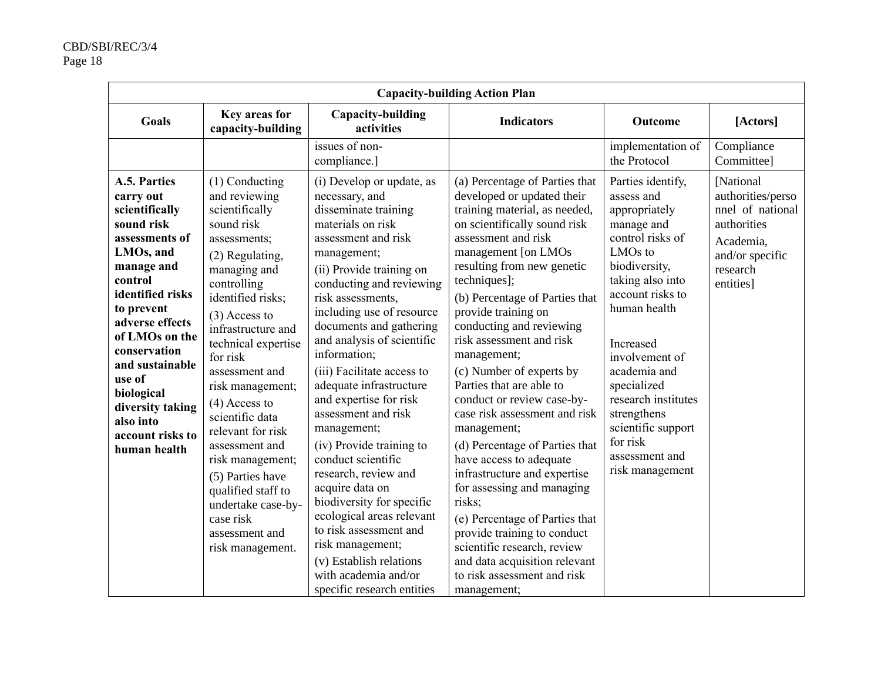| <b>Capacity-building Action Plan</b>                                                                                                                                                                                                                                                                                     |                                                                                                                                                                                                                                                                                                                                                                                                                                                                                              |                                                                                                                                                                                                                                                                                                                                                                                                                                                                                                                                                                                                                                                                                                                                  |                                                                                                                                                                                                                                                                                                                                                                                                                                                                                                                                                                                                                                                                                                                                                                                                                     |                                                                                                                                                                                                                                                                                                                                                               |                                                                                                                            |  |
|--------------------------------------------------------------------------------------------------------------------------------------------------------------------------------------------------------------------------------------------------------------------------------------------------------------------------|----------------------------------------------------------------------------------------------------------------------------------------------------------------------------------------------------------------------------------------------------------------------------------------------------------------------------------------------------------------------------------------------------------------------------------------------------------------------------------------------|----------------------------------------------------------------------------------------------------------------------------------------------------------------------------------------------------------------------------------------------------------------------------------------------------------------------------------------------------------------------------------------------------------------------------------------------------------------------------------------------------------------------------------------------------------------------------------------------------------------------------------------------------------------------------------------------------------------------------------|---------------------------------------------------------------------------------------------------------------------------------------------------------------------------------------------------------------------------------------------------------------------------------------------------------------------------------------------------------------------------------------------------------------------------------------------------------------------------------------------------------------------------------------------------------------------------------------------------------------------------------------------------------------------------------------------------------------------------------------------------------------------------------------------------------------------|---------------------------------------------------------------------------------------------------------------------------------------------------------------------------------------------------------------------------------------------------------------------------------------------------------------------------------------------------------------|----------------------------------------------------------------------------------------------------------------------------|--|
| Goals                                                                                                                                                                                                                                                                                                                    | Key areas for<br>capacity-building                                                                                                                                                                                                                                                                                                                                                                                                                                                           | Capacity-building<br>activities                                                                                                                                                                                                                                                                                                                                                                                                                                                                                                                                                                                                                                                                                                  | <b>Indicators</b>                                                                                                                                                                                                                                                                                                                                                                                                                                                                                                                                                                                                                                                                                                                                                                                                   | Outcome                                                                                                                                                                                                                                                                                                                                                       | [Actors]                                                                                                                   |  |
|                                                                                                                                                                                                                                                                                                                          |                                                                                                                                                                                                                                                                                                                                                                                                                                                                                              | issues of non-<br>compliance.]                                                                                                                                                                                                                                                                                                                                                                                                                                                                                                                                                                                                                                                                                                   |                                                                                                                                                                                                                                                                                                                                                                                                                                                                                                                                                                                                                                                                                                                                                                                                                     | implementation of<br>the Protocol                                                                                                                                                                                                                                                                                                                             | Compliance<br>Committee]                                                                                                   |  |
| A.5. Parties<br>carry out<br>scientifically<br>sound risk<br>assessments of<br>LMOs, and<br>manage and<br>control<br>identified risks<br>to prevent<br>adverse effects<br>of LMOs on the<br>conservation<br>and sustainable<br>use of<br>biological<br>diversity taking<br>also into<br>account risks to<br>human health | (1) Conducting<br>and reviewing<br>scientifically<br>sound risk<br>assessments;<br>(2) Regulating,<br>managing and<br>controlling<br>identified risks;<br>$(3)$ Access to<br>infrastructure and<br>technical expertise<br>for risk<br>assessment and<br>risk management;<br>$(4)$ Access to<br>scientific data<br>relevant for risk<br>assessment and<br>risk management;<br>(5) Parties have<br>qualified staff to<br>undertake case-by-<br>case risk<br>assessment and<br>risk management. | (i) Develop or update, as<br>necessary, and<br>disseminate training<br>materials on risk<br>assessment and risk<br>management;<br>(ii) Provide training on<br>conducting and reviewing<br>risk assessments,<br>including use of resource<br>documents and gathering<br>and analysis of scientific<br>information;<br>(iii) Facilitate access to<br>adequate infrastructure<br>and expertise for risk<br>assessment and risk<br>management;<br>(iv) Provide training to<br>conduct scientific<br>research, review and<br>acquire data on<br>biodiversity for specific<br>ecological areas relevant<br>to risk assessment and<br>risk management;<br>(v) Establish relations<br>with academia and/or<br>specific research entities | (a) Percentage of Parties that<br>developed or updated their<br>training material, as needed,<br>on scientifically sound risk<br>assessment and risk<br>management [on LMOs<br>resulting from new genetic<br>techniques];<br>(b) Percentage of Parties that<br>provide training on<br>conducting and reviewing<br>risk assessment and risk<br>management;<br>(c) Number of experts by<br>Parties that are able to<br>conduct or review case-by-<br>case risk assessment and risk<br>management;<br>(d) Percentage of Parties that<br>have access to adequate<br>infrastructure and expertise<br>for assessing and managing<br>risks;<br>(e) Percentage of Parties that<br>provide training to conduct<br>scientific research, review<br>and data acquisition relevant<br>to risk assessment and risk<br>management; | Parties identify,<br>assess and<br>appropriately<br>manage and<br>control risks of<br>LMO <sub>s</sub> to<br>biodiversity,<br>taking also into<br>account risks to<br>human health<br>Increased<br>involvement of<br>academia and<br>specialized<br>research institutes<br>strengthens<br>scientific support<br>for risk<br>assessment and<br>risk management | [National<br>authorities/perso<br>nnel of national<br>authorities<br>Academia,<br>and/or specific<br>research<br>entities] |  |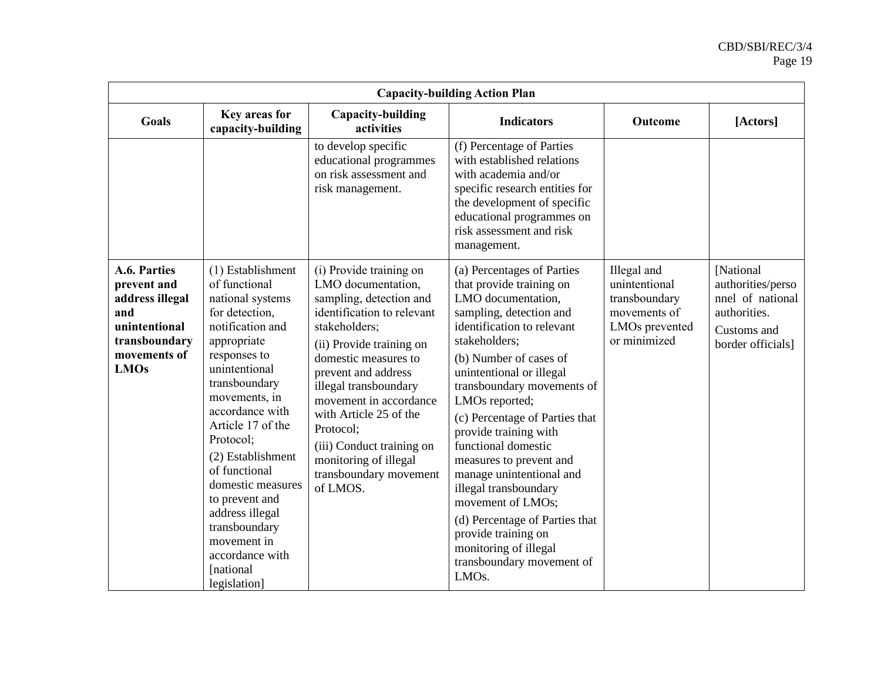| <b>Capacity-building Action Plan</b>                                                                                   |                                                                                                                                                                                                                                                                                                                                                                                                                     |                                                                                                                                                                                                                                                                                                                                                                                          |                                                                                                                                                                                                                                                                                                                                                                                                                                                                                                                                                                                          |                                                                                                 |                                                                                                        |
|------------------------------------------------------------------------------------------------------------------------|---------------------------------------------------------------------------------------------------------------------------------------------------------------------------------------------------------------------------------------------------------------------------------------------------------------------------------------------------------------------------------------------------------------------|------------------------------------------------------------------------------------------------------------------------------------------------------------------------------------------------------------------------------------------------------------------------------------------------------------------------------------------------------------------------------------------|------------------------------------------------------------------------------------------------------------------------------------------------------------------------------------------------------------------------------------------------------------------------------------------------------------------------------------------------------------------------------------------------------------------------------------------------------------------------------------------------------------------------------------------------------------------------------------------|-------------------------------------------------------------------------------------------------|--------------------------------------------------------------------------------------------------------|
| <b>Goals</b>                                                                                                           | Key areas for<br>capacity-building                                                                                                                                                                                                                                                                                                                                                                                  | Capacity-building<br>activities                                                                                                                                                                                                                                                                                                                                                          | <b>Indicators</b>                                                                                                                                                                                                                                                                                                                                                                                                                                                                                                                                                                        | Outcome                                                                                         | [Actors]                                                                                               |
|                                                                                                                        |                                                                                                                                                                                                                                                                                                                                                                                                                     | to develop specific<br>educational programmes<br>on risk assessment and<br>risk management.                                                                                                                                                                                                                                                                                              | (f) Percentage of Parties<br>with established relations<br>with academia and/or<br>specific research entities for<br>the development of specific<br>educational programmes on<br>risk assessment and risk<br>management.                                                                                                                                                                                                                                                                                                                                                                 |                                                                                                 |                                                                                                        |
| A.6. Parties<br>prevent and<br>address illegal<br>and<br>unintentional<br>transboundary<br>movements of<br><b>LMOs</b> | (1) Establishment<br>of functional<br>national systems<br>for detection,<br>notification and<br>appropriate<br>responses to<br>unintentional<br>transboundary<br>movements, in<br>accordance with<br>Article 17 of the<br>Protocol;<br>(2) Establishment<br>of functional<br>domestic measures<br>to prevent and<br>address illegal<br>transboundary<br>movement in<br>accordance with<br>[national<br>legislation] | (i) Provide training on<br>LMO documentation,<br>sampling, detection and<br>identification to relevant<br>stakeholders;<br>(ii) Provide training on<br>domestic measures to<br>prevent and address<br>illegal transboundary<br>movement in accordance<br>with Article 25 of the<br>Protocol;<br>(iii) Conduct training on<br>monitoring of illegal<br>transboundary movement<br>of LMOS. | (a) Percentages of Parties<br>that provide training on<br>LMO documentation,<br>sampling, detection and<br>identification to relevant<br>stakeholders;<br>(b) Number of cases of<br>unintentional or illegal<br>transboundary movements of<br>LMOs reported;<br>(c) Percentage of Parties that<br>provide training with<br>functional domestic<br>measures to prevent and<br>manage unintentional and<br>illegal transboundary<br>movement of LMOs;<br>(d) Percentage of Parties that<br>provide training on<br>monitoring of illegal<br>transboundary movement of<br>LMO <sub>s</sub> . | Illegal and<br>unintentional<br>transboundary<br>movements of<br>LMOs prevented<br>or minimized | [National<br>authorities/perso<br>nnel of national<br>authorities.<br>Customs and<br>border officials] |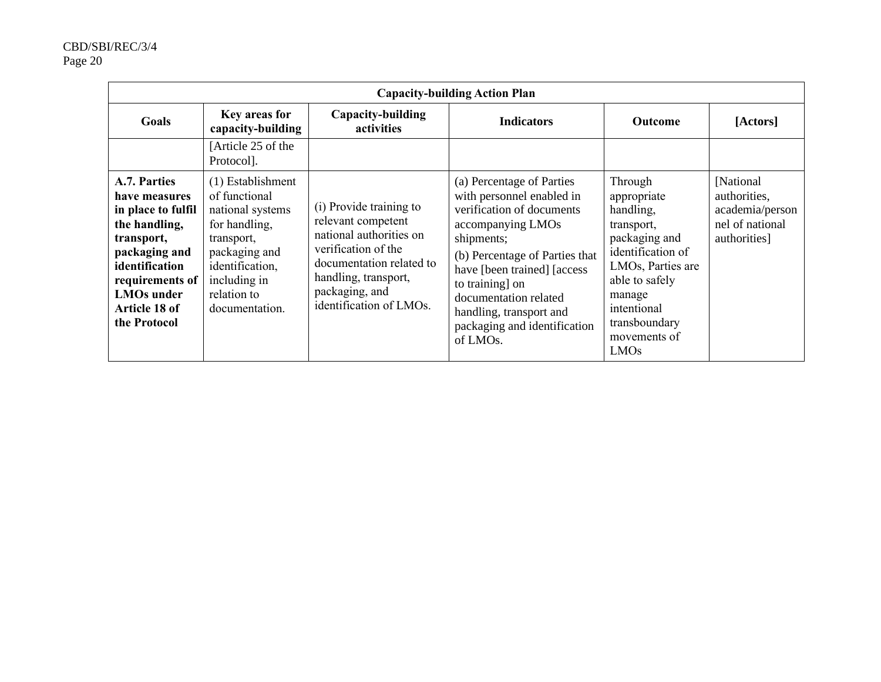| <b>Capacity-building Action Plan</b>                                                                                                                                                           |                                                                                                                                                                            |                                                                                                                                                                                                  |                                                                                                                                                                                                                                                                                                            |                                                                                                                                                                                                  |                                                                                 |  |
|------------------------------------------------------------------------------------------------------------------------------------------------------------------------------------------------|----------------------------------------------------------------------------------------------------------------------------------------------------------------------------|--------------------------------------------------------------------------------------------------------------------------------------------------------------------------------------------------|------------------------------------------------------------------------------------------------------------------------------------------------------------------------------------------------------------------------------------------------------------------------------------------------------------|--------------------------------------------------------------------------------------------------------------------------------------------------------------------------------------------------|---------------------------------------------------------------------------------|--|
| Goals                                                                                                                                                                                          | Key areas for<br>capacity-building                                                                                                                                         | Capacity-building<br>activities                                                                                                                                                                  | <b>Indicators</b>                                                                                                                                                                                                                                                                                          | <b>Outcome</b>                                                                                                                                                                                   | [Actors]                                                                        |  |
|                                                                                                                                                                                                | [Article 25 of the<br>Protocol].                                                                                                                                           |                                                                                                                                                                                                  |                                                                                                                                                                                                                                                                                                            |                                                                                                                                                                                                  |                                                                                 |  |
| A.7. Parties<br>have measures<br>in place to fulfil<br>the handling,<br>transport,<br>packaging and<br>identification<br>requirements of<br><b>LMOs</b> under<br>Article 18 of<br>the Protocol | (1) Establishment<br>of functional<br>national systems<br>for handling,<br>transport,<br>packaging and<br>identification,<br>including in<br>relation to<br>documentation. | (i) Provide training to<br>relevant competent<br>national authorities on<br>verification of the<br>documentation related to<br>handling, transport,<br>packaging, and<br>identification of LMOs. | (a) Percentage of Parties<br>with personnel enabled in<br>verification of documents<br>accompanying LMOs<br>shipments;<br>(b) Percentage of Parties that<br>have [been trained] [access<br>to training] on<br>documentation related<br>handling, transport and<br>packaging and identification<br>of LMOs. | Through<br>appropriate<br>handling,<br>transport,<br>packaging and<br>identification of<br>LMOs, Parties are<br>able to safely<br>manage<br>intentional<br>transboundary<br>movements of<br>LMOs | [National<br>authorities,<br>academia/person<br>nel of national<br>authorities] |  |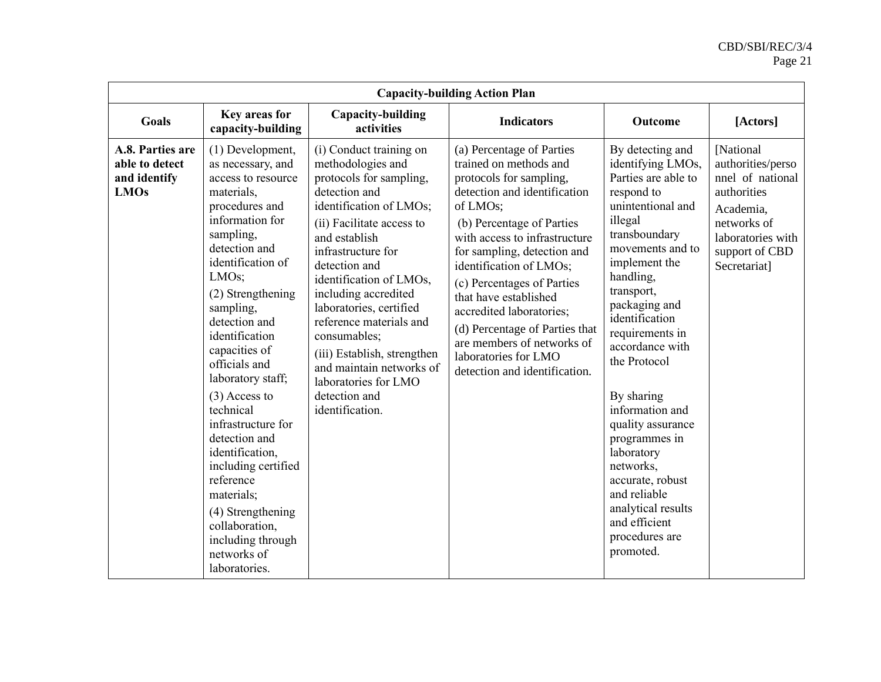|                                                                   | <b>Capacity-building Action Plan</b>                                                                                                                                                                                                                                                                                                                                                                                                                                                                                                                        |                                                                                                                                                                                                                                                                                                                                                                                                                                                          |                                                                                                                                                                                                                                                                                                                                                                                                                                                                |                                                                                                                                                                                                                                                                                                                                                                                                                                                                                                  |                                                                                                                                                      |  |  |
|-------------------------------------------------------------------|-------------------------------------------------------------------------------------------------------------------------------------------------------------------------------------------------------------------------------------------------------------------------------------------------------------------------------------------------------------------------------------------------------------------------------------------------------------------------------------------------------------------------------------------------------------|----------------------------------------------------------------------------------------------------------------------------------------------------------------------------------------------------------------------------------------------------------------------------------------------------------------------------------------------------------------------------------------------------------------------------------------------------------|----------------------------------------------------------------------------------------------------------------------------------------------------------------------------------------------------------------------------------------------------------------------------------------------------------------------------------------------------------------------------------------------------------------------------------------------------------------|--------------------------------------------------------------------------------------------------------------------------------------------------------------------------------------------------------------------------------------------------------------------------------------------------------------------------------------------------------------------------------------------------------------------------------------------------------------------------------------------------|------------------------------------------------------------------------------------------------------------------------------------------------------|--|--|
| <b>Goals</b>                                                      | Key areas for<br>capacity-building                                                                                                                                                                                                                                                                                                                                                                                                                                                                                                                          | Capacity-building<br>activities                                                                                                                                                                                                                                                                                                                                                                                                                          | <b>Indicators</b>                                                                                                                                                                                                                                                                                                                                                                                                                                              | Outcome                                                                                                                                                                                                                                                                                                                                                                                                                                                                                          | [Actors]                                                                                                                                             |  |  |
| A.8. Parties are<br>able to detect<br>and identify<br><b>LMOs</b> | (1) Development,<br>as necessary, and<br>access to resource<br>materials,<br>procedures and<br>information for<br>sampling,<br>detection and<br>identification of<br>LMO <sub>s</sub> ;<br>(2) Strengthening<br>sampling,<br>detection and<br>identification<br>capacities of<br>officials and<br>laboratory staff;<br>$(3)$ Access to<br>technical<br>infrastructure for<br>detection and<br>identification,<br>including certified<br>reference<br>materials;<br>(4) Strengthening<br>collaboration,<br>including through<br>networks of<br>laboratories. | (i) Conduct training on<br>methodologies and<br>protocols for sampling,<br>detection and<br>identification of LMOs;<br>(ii) Facilitate access to<br>and establish<br>infrastructure for<br>detection and<br>identification of LMOs,<br>including accredited<br>laboratories, certified<br>reference materials and<br>consumables;<br>(iii) Establish, strengthen<br>and maintain networks of<br>laboratories for LMO<br>detection and<br>identification. | (a) Percentage of Parties<br>trained on methods and<br>protocols for sampling,<br>detection and identification<br>of LMOs;<br>(b) Percentage of Parties<br>with access to infrastructure<br>for sampling, detection and<br>identification of LMOs;<br>(c) Percentages of Parties<br>that have established<br>accredited laboratories;<br>(d) Percentage of Parties that<br>are members of networks of<br>laboratories for LMO<br>detection and identification. | By detecting and<br>identifying LMOs,<br>Parties are able to<br>respond to<br>unintentional and<br>illegal<br>transboundary<br>movements and to<br>implement the<br>handling,<br>transport,<br>packaging and<br>identification<br>requirements in<br>accordance with<br>the Protocol<br>By sharing<br>information and<br>quality assurance<br>programmes in<br>laboratory<br>networks,<br>accurate, robust<br>and reliable<br>analytical results<br>and efficient<br>procedures are<br>promoted. | [National<br>authorities/perso<br>nnel of national<br>authorities<br>Academia,<br>networks of<br>laboratories with<br>support of CBD<br>Secretariat] |  |  |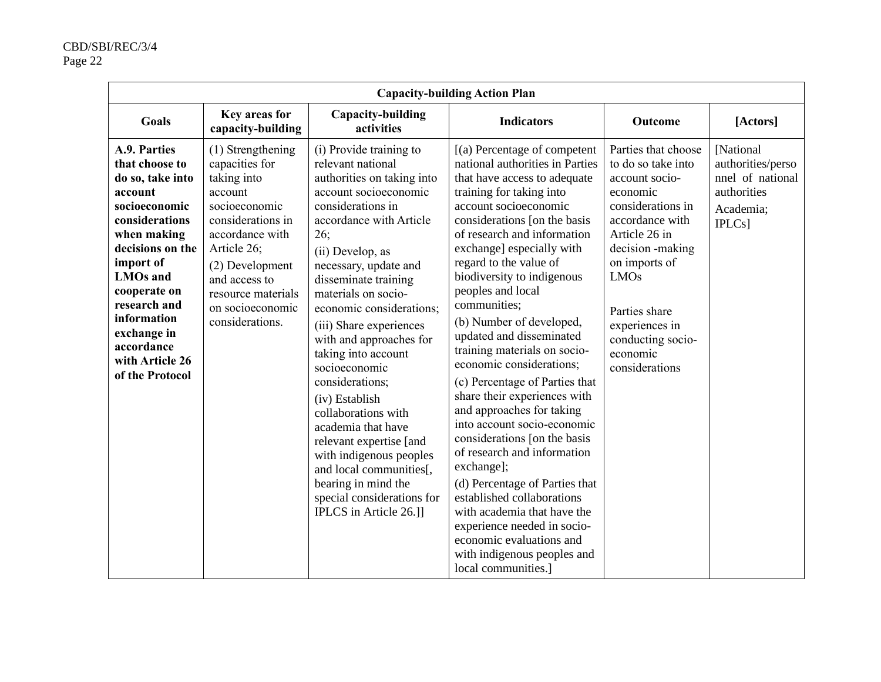|                                                                                                                                                                                                                                                                                       |                                                                                                                                                                                                                                        |                                                                                                                                                                                                                                                                                                                                                                                                                                                                                                                                                                                                                                    | <b>Capacity-building Action Plan</b>                                                                                                                                                                                                                                                                                                                                                                                                                                                                                                                                                                                                                                                                                                                                                                                                                                                         |                                                                                                                                                                                                                                                                            |                                                                                          |
|---------------------------------------------------------------------------------------------------------------------------------------------------------------------------------------------------------------------------------------------------------------------------------------|----------------------------------------------------------------------------------------------------------------------------------------------------------------------------------------------------------------------------------------|------------------------------------------------------------------------------------------------------------------------------------------------------------------------------------------------------------------------------------------------------------------------------------------------------------------------------------------------------------------------------------------------------------------------------------------------------------------------------------------------------------------------------------------------------------------------------------------------------------------------------------|----------------------------------------------------------------------------------------------------------------------------------------------------------------------------------------------------------------------------------------------------------------------------------------------------------------------------------------------------------------------------------------------------------------------------------------------------------------------------------------------------------------------------------------------------------------------------------------------------------------------------------------------------------------------------------------------------------------------------------------------------------------------------------------------------------------------------------------------------------------------------------------------|----------------------------------------------------------------------------------------------------------------------------------------------------------------------------------------------------------------------------------------------------------------------------|------------------------------------------------------------------------------------------|
| Goals                                                                                                                                                                                                                                                                                 | Key areas for<br>capacity-building                                                                                                                                                                                                     | Capacity-building<br>activities                                                                                                                                                                                                                                                                                                                                                                                                                                                                                                                                                                                                    | <b>Indicators</b>                                                                                                                                                                                                                                                                                                                                                                                                                                                                                                                                                                                                                                                                                                                                                                                                                                                                            | Outcome                                                                                                                                                                                                                                                                    | [Actors]                                                                                 |
| A.9. Parties<br>that choose to<br>do so, take into<br>account<br>socioeconomic<br>considerations<br>when making<br>decisions on the<br>import of<br><b>LMOs</b> and<br>cooperate on<br>research and<br>information<br>exchange in<br>accordance<br>with Article 26<br>of the Protocol | (1) Strengthening<br>capacities for<br>taking into<br>account<br>socioeconomic<br>considerations in<br>accordance with<br>Article 26;<br>(2) Development<br>and access to<br>resource materials<br>on socioeconomic<br>considerations. | (i) Provide training to<br>relevant national<br>authorities on taking into<br>account socioeconomic<br>considerations in<br>accordance with Article<br>26;<br>(ii) Develop, as<br>necessary, update and<br>disseminate training<br>materials on socio-<br>economic considerations;<br>(iii) Share experiences<br>with and approaches for<br>taking into account<br>socioeconomic<br>considerations;<br>(iv) Establish<br>collaborations with<br>academia that have<br>relevant expertise [and<br>with indigenous peoples<br>and local communities[,<br>bearing in mind the<br>special considerations for<br>IPLCS in Article 26.]] | [(a) Percentage of competent<br>national authorities in Parties<br>that have access to adequate<br>training for taking into<br>account socioeconomic<br>considerations [on the basis<br>of research and information<br>exchange] especially with<br>regard to the value of<br>biodiversity to indigenous<br>peoples and local<br>communities;<br>(b) Number of developed,<br>updated and disseminated<br>training materials on socio-<br>economic considerations;<br>(c) Percentage of Parties that<br>share their experiences with<br>and approaches for taking<br>into account socio-economic<br>considerations [on the basis<br>of research and information<br>exchange];<br>(d) Percentage of Parties that<br>established collaborations<br>with academia that have the<br>experience needed in socio-<br>economic evaluations and<br>with indigenous peoples and<br>local communities.] | Parties that choose<br>to do so take into<br>account socio-<br>economic<br>considerations in<br>accordance with<br>Article 26 in<br>decision -making<br>on imports of<br><b>LMOs</b><br>Parties share<br>experiences in<br>conducting socio-<br>economic<br>considerations | [National<br>authorities/perso<br>nnel of national<br>authorities<br>Academia;<br>[PLCs] |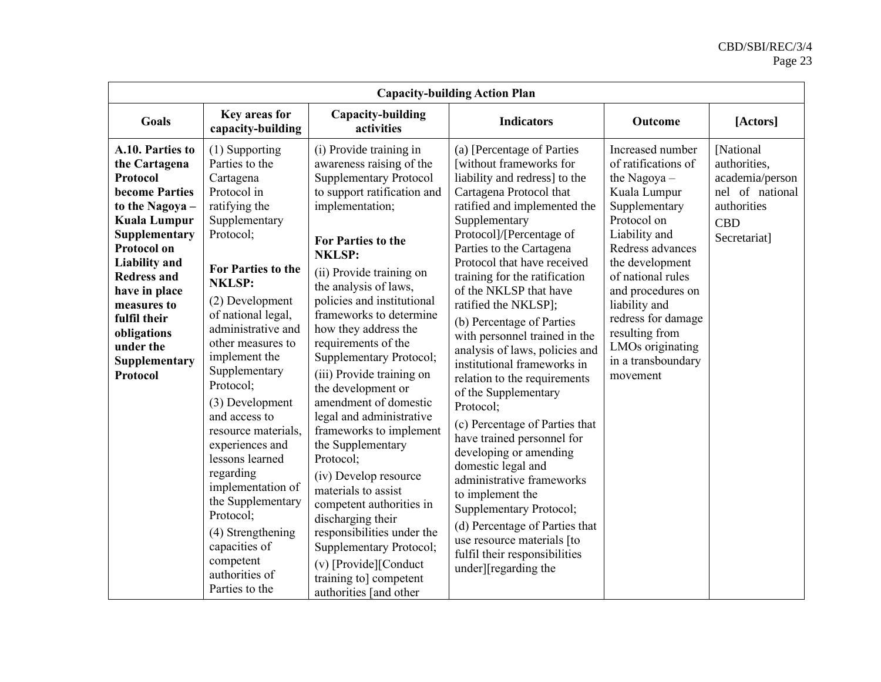| <b>Capacity-building Action Plan</b>                                                                                                                                                                                                                                                                           |                                                                                                                                                                                                                                                                                                                                                                                                                                                                                                                                                          |                                                                                                                                                                                                                                                                                                                                                                                                                                                                                                                                                                                                                                                                                                                                                                                          |                                                                                                                                                                                                                                                                                                                                                                                                                                                                                                                                                                                                                                                                                                                                                                                                                                                                       |                                                                                                                                                                                                                                                                                                                         |                                                                                                              |  |
|----------------------------------------------------------------------------------------------------------------------------------------------------------------------------------------------------------------------------------------------------------------------------------------------------------------|----------------------------------------------------------------------------------------------------------------------------------------------------------------------------------------------------------------------------------------------------------------------------------------------------------------------------------------------------------------------------------------------------------------------------------------------------------------------------------------------------------------------------------------------------------|------------------------------------------------------------------------------------------------------------------------------------------------------------------------------------------------------------------------------------------------------------------------------------------------------------------------------------------------------------------------------------------------------------------------------------------------------------------------------------------------------------------------------------------------------------------------------------------------------------------------------------------------------------------------------------------------------------------------------------------------------------------------------------------|-----------------------------------------------------------------------------------------------------------------------------------------------------------------------------------------------------------------------------------------------------------------------------------------------------------------------------------------------------------------------------------------------------------------------------------------------------------------------------------------------------------------------------------------------------------------------------------------------------------------------------------------------------------------------------------------------------------------------------------------------------------------------------------------------------------------------------------------------------------------------|-------------------------------------------------------------------------------------------------------------------------------------------------------------------------------------------------------------------------------------------------------------------------------------------------------------------------|--------------------------------------------------------------------------------------------------------------|--|
| <b>Goals</b>                                                                                                                                                                                                                                                                                                   | Key areas for<br>capacity-building                                                                                                                                                                                                                                                                                                                                                                                                                                                                                                                       | Capacity-building<br>activities                                                                                                                                                                                                                                                                                                                                                                                                                                                                                                                                                                                                                                                                                                                                                          | <b>Indicators</b>                                                                                                                                                                                                                                                                                                                                                                                                                                                                                                                                                                                                                                                                                                                                                                                                                                                     | Outcome                                                                                                                                                                                                                                                                                                                 | [Actors]                                                                                                     |  |
| A.10. Parties to<br>the Cartagena<br>Protocol<br><b>become Parties</b><br>to the Nagoya -<br><b>Kuala Lumpur</b><br>Supplementary<br><b>Protocol on</b><br><b>Liability</b> and<br><b>Redress and</b><br>have in place<br>measures to<br>fulfil their<br>obligations<br>under the<br>Supplementary<br>Protocol | (1) Supporting<br>Parties to the<br>Cartagena<br>Protocol in<br>ratifying the<br>Supplementary<br>Protocol:<br><b>For Parties to the</b><br><b>NKLSP:</b><br>(2) Development<br>of national legal,<br>administrative and<br>other measures to<br>implement the<br>Supplementary<br>Protocol;<br>(3) Development<br>and access to<br>resource materials,<br>experiences and<br>lessons learned<br>regarding<br>implementation of<br>the Supplementary<br>Protocol;<br>(4) Strengthening<br>capacities of<br>competent<br>authorities of<br>Parties to the | (i) Provide training in<br>awareness raising of the<br><b>Supplementary Protocol</b><br>to support ratification and<br>implementation;<br><b>For Parties to the</b><br><b>NKLSP:</b><br>(ii) Provide training on<br>the analysis of laws,<br>policies and institutional<br>frameworks to determine<br>how they address the<br>requirements of the<br>Supplementary Protocol;<br>(iii) Provide training on<br>the development or<br>amendment of domestic<br>legal and administrative<br>frameworks to implement<br>the Supplementary<br>Protocol;<br>(iv) Develop resource<br>materials to assist<br>competent authorities in<br>discharging their<br>responsibilities under the<br>Supplementary Protocol;<br>(v) [Provide][Conduct<br>training to] competent<br>authorities [and other | (a) [Percentage of Parties<br>[without frameworks for<br>liability and redress] to the<br>Cartagena Protocol that<br>ratified and implemented the<br>Supplementary<br>Protocol]/[Percentage of<br>Parties to the Cartagena<br>Protocol that have received<br>training for the ratification<br>of the NKLSP that have<br>ratified the NKLSP];<br>(b) Percentage of Parties<br>with personnel trained in the<br>analysis of laws, policies and<br>institutional frameworks in<br>relation to the requirements<br>of the Supplementary<br>Protocol:<br>(c) Percentage of Parties that<br>have trained personnel for<br>developing or amending<br>domestic legal and<br>administrative frameworks<br>to implement the<br>Supplementary Protocol;<br>(d) Percentage of Parties that<br>use resource materials [to<br>fulfil their responsibilities<br>under][regarding the | Increased number<br>of ratifications of<br>the Nagoya-<br>Kuala Lumpur<br>Supplementary<br>Protocol on<br>Liability and<br>Redress advances<br>the development<br>of national rules<br>and procedures on<br>liability and<br>redress for damage<br>resulting from<br>LMOs originating<br>in a transboundary<br>movement | [National<br>authorities,<br>academia/person<br>nel of national<br>authorities<br><b>CBD</b><br>Secretariat] |  |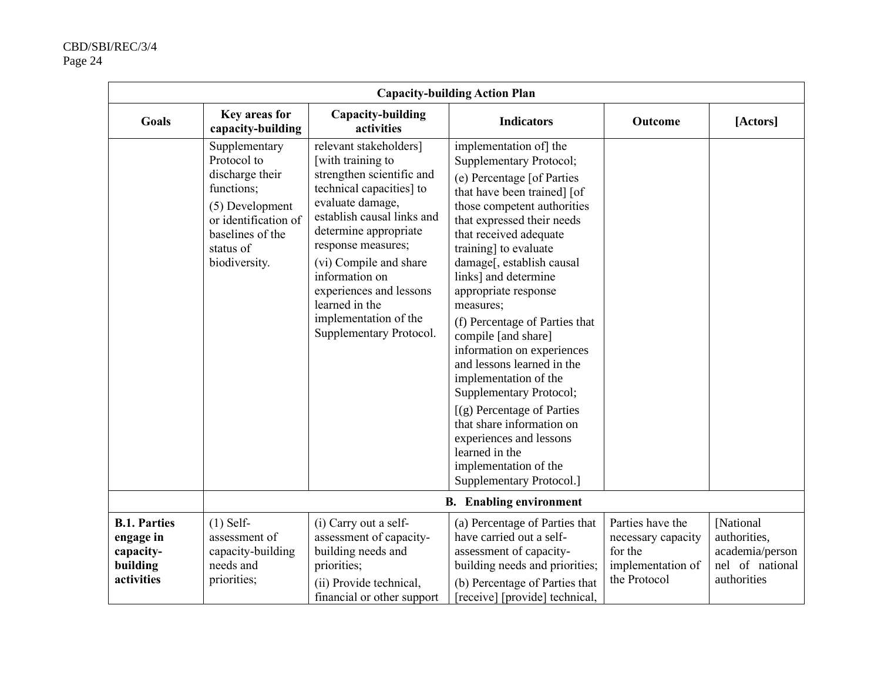| <b>Capacity-building Action Plan</b>                                    |                                                                                                                                                            |                                                                                                                                                                                                                                                                                                                                                    |                                                                                                                                                                                                                                                                                                                                                                                                                                                                                                                                                                                                                                                               |                                                                                        |                                                                                |  |
|-------------------------------------------------------------------------|------------------------------------------------------------------------------------------------------------------------------------------------------------|----------------------------------------------------------------------------------------------------------------------------------------------------------------------------------------------------------------------------------------------------------------------------------------------------------------------------------------------------|---------------------------------------------------------------------------------------------------------------------------------------------------------------------------------------------------------------------------------------------------------------------------------------------------------------------------------------------------------------------------------------------------------------------------------------------------------------------------------------------------------------------------------------------------------------------------------------------------------------------------------------------------------------|----------------------------------------------------------------------------------------|--------------------------------------------------------------------------------|--|
| <b>Goals</b>                                                            | Key areas for<br>capacity-building                                                                                                                         | Capacity-building<br>activities                                                                                                                                                                                                                                                                                                                    | <b>Indicators</b>                                                                                                                                                                                                                                                                                                                                                                                                                                                                                                                                                                                                                                             | Outcome                                                                                | [Actors]                                                                       |  |
|                                                                         | Supplementary<br>Protocol to<br>discharge their<br>functions;<br>(5) Development<br>or identification of<br>baselines of the<br>status of<br>biodiversity. | relevant stakeholders]<br>[with training to<br>strengthen scientific and<br>technical capacities] to<br>evaluate damage,<br>establish causal links and<br>determine appropriate<br>response measures;<br>(vi) Compile and share<br>information on<br>experiences and lessons<br>learned in the<br>implementation of the<br>Supplementary Protocol. | implementation of the<br>Supplementary Protocol;<br>(e) Percentage [of Parties<br>that have been trained] [of<br>those competent authorities<br>that expressed their needs<br>that received adequate<br>training] to evaluate<br>damage[, establish causal<br>links] and determine<br>appropriate response<br>measures;<br>(f) Percentage of Parties that<br>compile [and share]<br>information on experiences<br>and lessons learned in the<br>implementation of the<br>Supplementary Protocol;<br>[(g) Percentage of Parties<br>that share information on<br>experiences and lessons<br>learned in the<br>implementation of the<br>Supplementary Protocol.] |                                                                                        |                                                                                |  |
|                                                                         | <b>B.</b> Enabling environment                                                                                                                             |                                                                                                                                                                                                                                                                                                                                                    |                                                                                                                                                                                                                                                                                                                                                                                                                                                                                                                                                                                                                                                               |                                                                                        |                                                                                |  |
| <b>B.1. Parties</b><br>engage in<br>capacity-<br>building<br>activities | $(1)$ Self-<br>assessment of<br>capacity-building<br>needs and<br>priorities;                                                                              | (i) Carry out a self-<br>assessment of capacity-<br>building needs and<br>priorities;<br>(ii) Provide technical,<br>financial or other support                                                                                                                                                                                                     | (a) Percentage of Parties that<br>have carried out a self-<br>assessment of capacity-<br>building needs and priorities;<br>(b) Percentage of Parties that<br>[receive] [provide] technical,                                                                                                                                                                                                                                                                                                                                                                                                                                                                   | Parties have the<br>necessary capacity<br>for the<br>implementation of<br>the Protocol | [National<br>authorities,<br>academia/person<br>nel of national<br>authorities |  |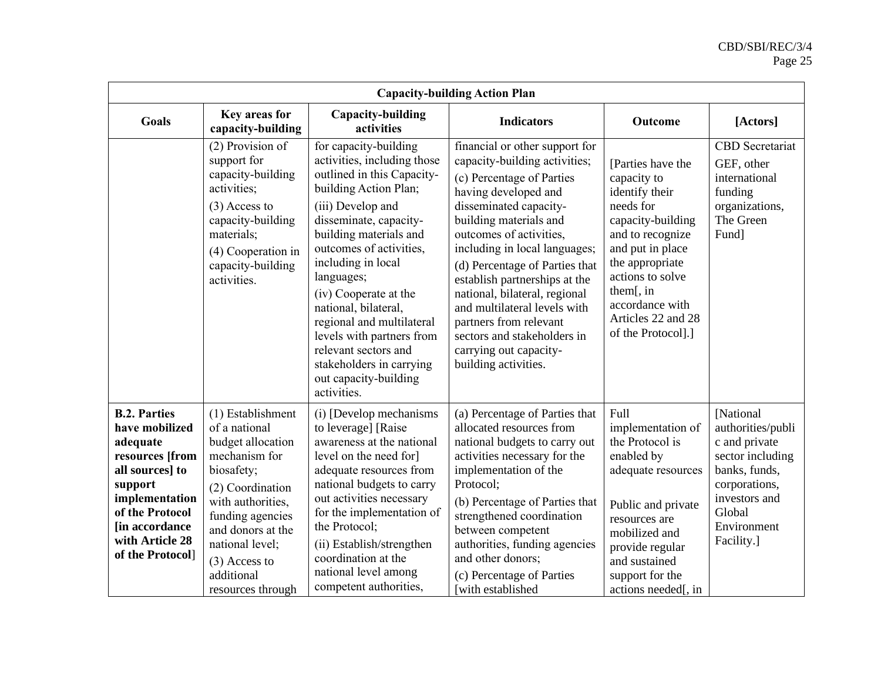| <b>Capacity-building Action Plan</b>                                                                                                                                                             |                                                                                                                                                                                                                                                   |                                                                                                                                                                                                                                                                                                                                                                                                                                                            |                                                                                                                                                                                                                                                                                                                                                                                                                                                                                     |                                                                                                                                                                                                                                                 |                                                                                                                                                               |  |
|--------------------------------------------------------------------------------------------------------------------------------------------------------------------------------------------------|---------------------------------------------------------------------------------------------------------------------------------------------------------------------------------------------------------------------------------------------------|------------------------------------------------------------------------------------------------------------------------------------------------------------------------------------------------------------------------------------------------------------------------------------------------------------------------------------------------------------------------------------------------------------------------------------------------------------|-------------------------------------------------------------------------------------------------------------------------------------------------------------------------------------------------------------------------------------------------------------------------------------------------------------------------------------------------------------------------------------------------------------------------------------------------------------------------------------|-------------------------------------------------------------------------------------------------------------------------------------------------------------------------------------------------------------------------------------------------|---------------------------------------------------------------------------------------------------------------------------------------------------------------|--|
| <b>Goals</b>                                                                                                                                                                                     | Key areas for<br>capacity-building                                                                                                                                                                                                                | Capacity-building<br>activities                                                                                                                                                                                                                                                                                                                                                                                                                            | <b>Indicators</b>                                                                                                                                                                                                                                                                                                                                                                                                                                                                   | Outcome                                                                                                                                                                                                                                         | [Actors]                                                                                                                                                      |  |
|                                                                                                                                                                                                  | (2) Provision of<br>support for<br>capacity-building<br>activities;<br>$(3)$ Access to<br>capacity-building<br>materials;<br>(4) Cooperation in<br>capacity-building<br>activities.                                                               | for capacity-building<br>activities, including those<br>outlined in this Capacity-<br>building Action Plan;<br>(iii) Develop and<br>disseminate, capacity-<br>building materials and<br>outcomes of activities,<br>including in local<br>languages;<br>(iv) Cooperate at the<br>national, bilateral,<br>regional and multilateral<br>levels with partners from<br>relevant sectors and<br>stakeholders in carrying<br>out capacity-building<br>activities. | financial or other support for<br>capacity-building activities;<br>(c) Percentage of Parties<br>having developed and<br>disseminated capacity-<br>building materials and<br>outcomes of activities,<br>including in local languages;<br>(d) Percentage of Parties that<br>establish partnerships at the<br>national, bilateral, regional<br>and multilateral levels with<br>partners from relevant<br>sectors and stakeholders in<br>carrying out capacity-<br>building activities. | [Parties have the<br>capacity to<br>identify their<br>needs for<br>capacity-building<br>and to recognize<br>and put in place<br>the appropriate<br>actions to solve<br>them[, in<br>accordance with<br>Articles 22 and 28<br>of the Protocol].] | <b>CBD</b> Secretariat<br>GEF, other<br>international<br>funding<br>organizations,<br>The Green<br>Fund]                                                      |  |
| <b>B.2. Parties</b><br>have mobilized<br>adequate<br>resources [from<br>all sources] to<br>support<br>implementation<br>of the Protocol<br>[in accordance<br>with Article 28<br>of the Protocol] | (1) Establishment<br>of a national<br>budget allocation<br>mechanism for<br>biosafety;<br>(2) Coordination<br>with authorities,<br>funding agencies<br>and donors at the<br>national level;<br>$(3)$ Access to<br>additional<br>resources through | (i) [Develop mechanisms<br>to leverage] [Raise<br>awareness at the national<br>level on the need for]<br>adequate resources from<br>national budgets to carry<br>out activities necessary<br>for the implementation of<br>the Protocol;<br>(ii) Establish/strengthen<br>coordination at the<br>national level among<br>competent authorities,                                                                                                              | (a) Percentage of Parties that<br>allocated resources from<br>national budgets to carry out<br>activities necessary for the<br>implementation of the<br>Protocol:<br>(b) Percentage of Parties that<br>strengthened coordination<br>between competent<br>authorities, funding agencies<br>and other donors;<br>(c) Percentage of Parties<br>with established                                                                                                                        | Full<br>implementation of<br>the Protocol is<br>enabled by<br>adequate resources<br>Public and private<br>resources are<br>mobilized and<br>provide regular<br>and sustained<br>support for the<br>actions needed[, in                          | [National<br>authorities/publi<br>c and private<br>sector including<br>banks, funds,<br>corporations,<br>investors and<br>Global<br>Environment<br>Facility.] |  |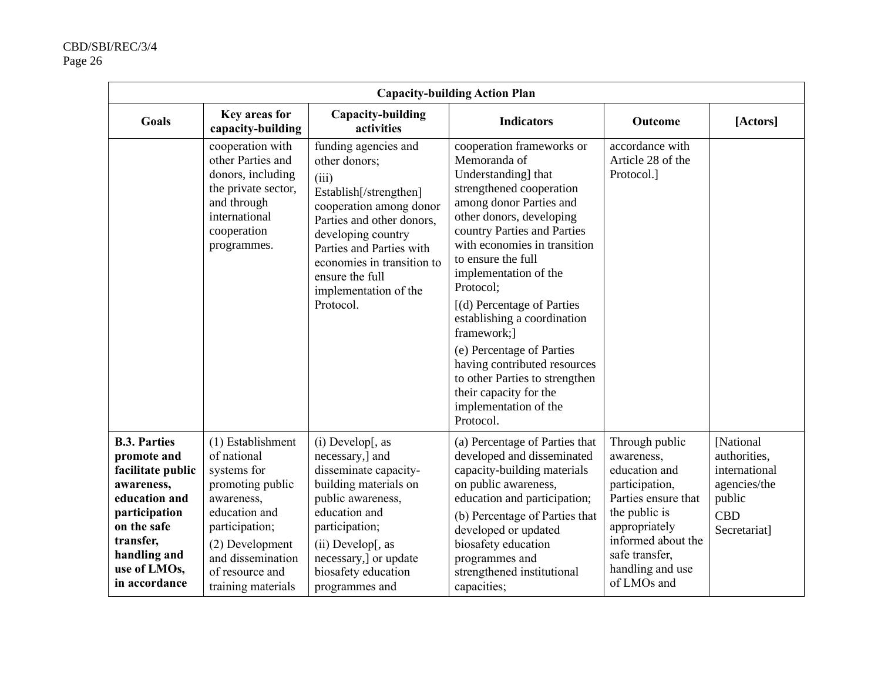| <b>Capacity-building Action Plan</b>                                                                                                                                                 |                                                                                                                                                                                                       |                                                                                                                                                                                                                                                                           |                                                                                                                                                                                                                                                                                                                                                                                                                                                                                                                           |                                                                                                                                                                                                     |                                                                                                     |  |
|--------------------------------------------------------------------------------------------------------------------------------------------------------------------------------------|-------------------------------------------------------------------------------------------------------------------------------------------------------------------------------------------------------|---------------------------------------------------------------------------------------------------------------------------------------------------------------------------------------------------------------------------------------------------------------------------|---------------------------------------------------------------------------------------------------------------------------------------------------------------------------------------------------------------------------------------------------------------------------------------------------------------------------------------------------------------------------------------------------------------------------------------------------------------------------------------------------------------------------|-----------------------------------------------------------------------------------------------------------------------------------------------------------------------------------------------------|-----------------------------------------------------------------------------------------------------|--|
| <b>Goals</b>                                                                                                                                                                         | Key areas for<br>capacity-building                                                                                                                                                                    | Capacity-building<br>activities                                                                                                                                                                                                                                           | <b>Indicators</b>                                                                                                                                                                                                                                                                                                                                                                                                                                                                                                         | Outcome                                                                                                                                                                                             | [Actors]                                                                                            |  |
|                                                                                                                                                                                      | cooperation with<br>other Parties and<br>donors, including<br>the private sector,<br>and through<br>international<br>cooperation<br>programmes.                                                       | funding agencies and<br>other donors;<br>(iii)<br>Establish[/strengthen]<br>cooperation among donor<br>Parties and other donors,<br>developing country<br>Parties and Parties with<br>economies in transition to<br>ensure the full<br>implementation of the<br>Protocol. | cooperation frameworks or<br>Memoranda of<br>Understanding] that<br>strengthened cooperation<br>among donor Parties and<br>other donors, developing<br>country Parties and Parties<br>with economies in transition<br>to ensure the full<br>implementation of the<br>Protocol:<br>[(d) Percentage of Parties<br>establishing a coordination<br>framework;]<br>(e) Percentage of Parties<br>having contributed resources<br>to other Parties to strengthen<br>their capacity for the<br>implementation of the<br>Protocol. | accordance with<br>Article 28 of the<br>Protocol.]                                                                                                                                                  |                                                                                                     |  |
| <b>B.3. Parties</b><br>promote and<br>facilitate public<br>awareness,<br>education and<br>participation<br>on the safe<br>transfer,<br>handling and<br>use of LMOs,<br>in accordance | (1) Establishment<br>of national<br>systems for<br>promoting public<br>awareness,<br>education and<br>participation;<br>(2) Development<br>and dissemination<br>of resource and<br>training materials | $(i)$ Develop[, as<br>necessary,] and<br>disseminate capacity-<br>building materials on<br>public awareness,<br>education and<br>participation;<br>$(ii)$ Develop[, as<br>necessary,] or update<br>biosafety education<br>programmes and                                  | (a) Percentage of Parties that<br>developed and disseminated<br>capacity-building materials<br>on public awareness,<br>education and participation;<br>(b) Percentage of Parties that<br>developed or updated<br>biosafety education<br>programmes and<br>strengthened institutional<br>capacities;                                                                                                                                                                                                                       | Through public<br>awareness,<br>education and<br>participation,<br>Parties ensure that<br>the public is<br>appropriately<br>informed about the<br>safe transfer,<br>handling and use<br>of LMOs and | [National]<br>authorities,<br>international<br>agencies/the<br>public<br><b>CBD</b><br>Secretariat] |  |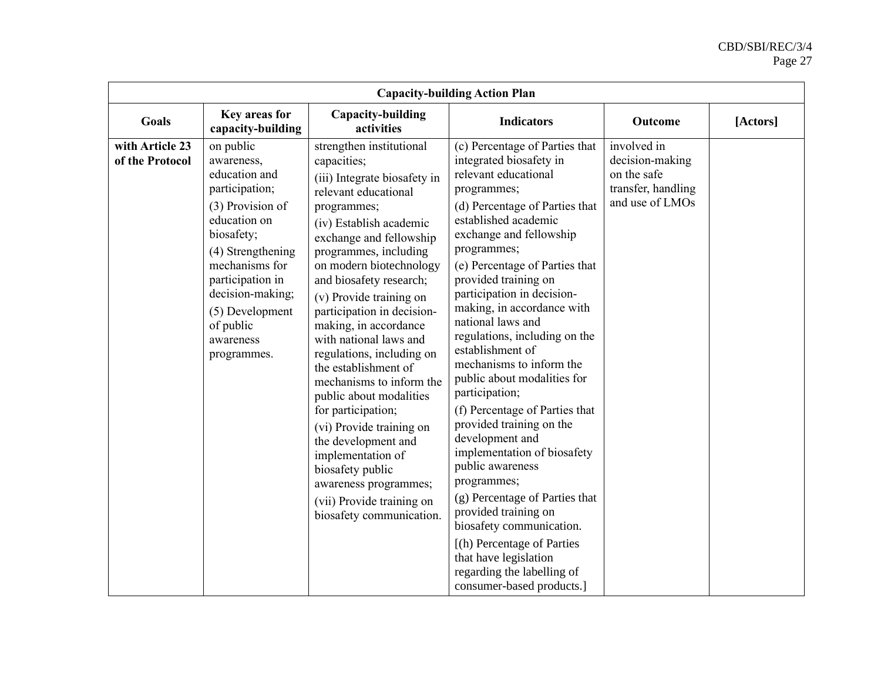| <b>Capacity-building Action Plan</b> |                                                                                                                                                                                                                                                         |                                                                                                                                                                                                                                                                                                                                                                                                                                                                                                                                                                                                                                                                                 |                                                                                                                                                                                                                                                                                                                                                                                                                                                                                                                                                                                                                                                                                                                                                                                                                                              |                                                                                        |          |  |
|--------------------------------------|---------------------------------------------------------------------------------------------------------------------------------------------------------------------------------------------------------------------------------------------------------|---------------------------------------------------------------------------------------------------------------------------------------------------------------------------------------------------------------------------------------------------------------------------------------------------------------------------------------------------------------------------------------------------------------------------------------------------------------------------------------------------------------------------------------------------------------------------------------------------------------------------------------------------------------------------------|----------------------------------------------------------------------------------------------------------------------------------------------------------------------------------------------------------------------------------------------------------------------------------------------------------------------------------------------------------------------------------------------------------------------------------------------------------------------------------------------------------------------------------------------------------------------------------------------------------------------------------------------------------------------------------------------------------------------------------------------------------------------------------------------------------------------------------------------|----------------------------------------------------------------------------------------|----------|--|
| Goals                                | Key areas for<br>capacity-building                                                                                                                                                                                                                      | Capacity-building<br>activities                                                                                                                                                                                                                                                                                                                                                                                                                                                                                                                                                                                                                                                 | <b>Indicators</b>                                                                                                                                                                                                                                                                                                                                                                                                                                                                                                                                                                                                                                                                                                                                                                                                                            | Outcome                                                                                | [Actors] |  |
| with Article 23<br>of the Protocol   | on public<br>awareness,<br>education and<br>participation;<br>(3) Provision of<br>education on<br>biosafety;<br>(4) Strengthening<br>mechanisms for<br>participation in<br>decision-making;<br>(5) Development<br>of public<br>awareness<br>programmes. | strengthen institutional<br>capacities;<br>(iii) Integrate biosafety in<br>relevant educational<br>programmes;<br>(iv) Establish academic<br>exchange and fellowship<br>programmes, including<br>on modern biotechnology<br>and biosafety research;<br>(v) Provide training on<br>participation in decision-<br>making, in accordance<br>with national laws and<br>regulations, including on<br>the establishment of<br>mechanisms to inform the<br>public about modalities<br>for participation;<br>(vi) Provide training on<br>the development and<br>implementation of<br>biosafety public<br>awareness programmes;<br>(vii) Provide training on<br>biosafety communication. | (c) Percentage of Parties that<br>integrated biosafety in<br>relevant educational<br>programmes;<br>(d) Percentage of Parties that<br>established academic<br>exchange and fellowship<br>programmes;<br>(e) Percentage of Parties that<br>provided training on<br>participation in decision-<br>making, in accordance with<br>national laws and<br>regulations, including on the<br>establishment of<br>mechanisms to inform the<br>public about modalities for<br>participation;<br>(f) Percentage of Parties that<br>provided training on the<br>development and<br>implementation of biosafety<br>public awareness<br>programmes;<br>(g) Percentage of Parties that<br>provided training on<br>biosafety communication.<br>[(h) Percentage of Parties<br>that have legislation<br>regarding the labelling of<br>consumer-based products.] | involved in<br>decision-making<br>on the safe<br>transfer, handling<br>and use of LMOs |          |  |